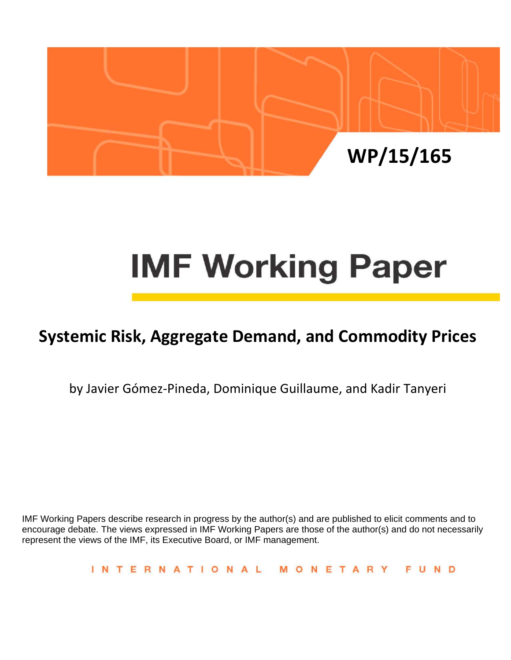

# **IMF Working Paper**

# **Systemic Risk, Aggregate Demand, and Commodity Prices**

by Javier Gómez‐Pineda, Dominique Guillaume, and Kadir Tanyeri

IMF Working Papers describe research in progress by the author(s) and are published to elicit comments and to encourage debate. The views expressed in IMF Working Papers are those of the author(s) and do not necessarily represent the views of the IMF, its Executive Board, or IMF management.

> **INTERNATIONAL** MONETARY **FUND**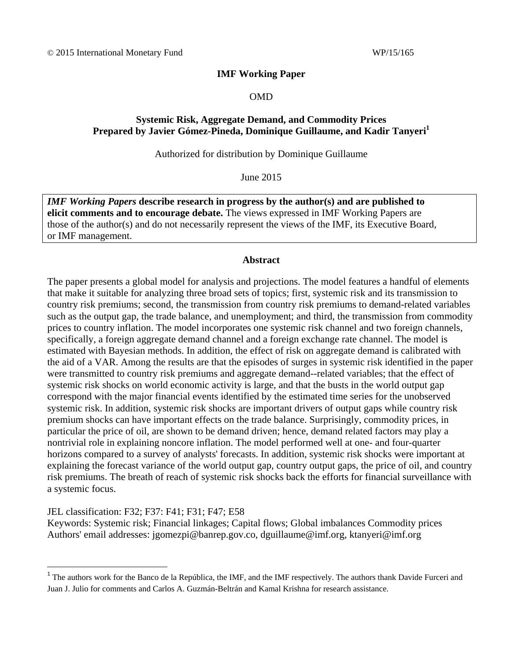# **IMF Working Paper**

## OMD

# **Systemic Risk, Aggregate Demand, and Commodity Prices Prepared by Javier Gómez-Pineda, Dominique Guillaume, and Kadir Tanyeri<sup>1</sup>**

# Authorized for distribution by Dominique Guillaume

## June 2015

*IMF Working Papers* **describe research in progress by the author(s) and are published to elicit comments and to encourage debate.** The views expressed in IMF Working Papers are those of the author(s) and do not necessarily represent the views of the IMF, its Executive Board, or IMF management.

# **Abstract**

The paper presents a global model for analysis and projections. The model features a handful of elements that make it suitable for analyzing three broad sets of topics; first, systemic risk and its transmission to country risk premiums; second, the transmission from country risk premiums to demand-related variables such as the output gap, the trade balance, and unemployment; and third, the transmission from commodity prices to country inflation. The model incorporates one systemic risk channel and two foreign channels, specifically, a foreign aggregate demand channel and a foreign exchange rate channel. The model is estimated with Bayesian methods. In addition, the effect of risk on aggregate demand is calibrated with the aid of a VAR. Among the results are that the episodes of surges in systemic risk identified in the paper were transmitted to country risk premiums and aggregate demand--related variables; that the effect of systemic risk shocks on world economic activity is large, and that the busts in the world output gap correspond with the major financial events identified by the estimated time series for the unobserved systemic risk. In addition, systemic risk shocks are important drivers of output gaps while country risk premium shocks can have important effects on the trade balance. Surprisingly, commodity prices, in particular the price of oil, are shown to be demand driven; hence, demand related factors may play a nontrivial role in explaining noncore inflation. The model performed well at one- and four-quarter horizons compared to a survey of analysts' forecasts. In addition, systemic risk shocks were important at explaining the forecast variance of the world output gap, country output gaps, the price of oil, and country risk premiums. The breath of reach of systemic risk shocks back the efforts for financial surveillance with a systemic focus.

# JEL classification: F32; F37: F41; F31; F47; E58

Keywords: Systemic risk; Financial linkages; Capital flows; Global imbalances Commodity prices Authors' email addresses: jgomezpi@banrep.gov.co, dguillaume@imf.org, ktanyeri@imf.org

<sup>&</sup>lt;sup>1</sup> The authors work for the Banco de la República, the IMF, and the IMF respectively. The authors thank Davide Furceri and Juan J. Julio for comments and Carlos A. Guzmán-Beltrán and Kamal Krishna for research assistance.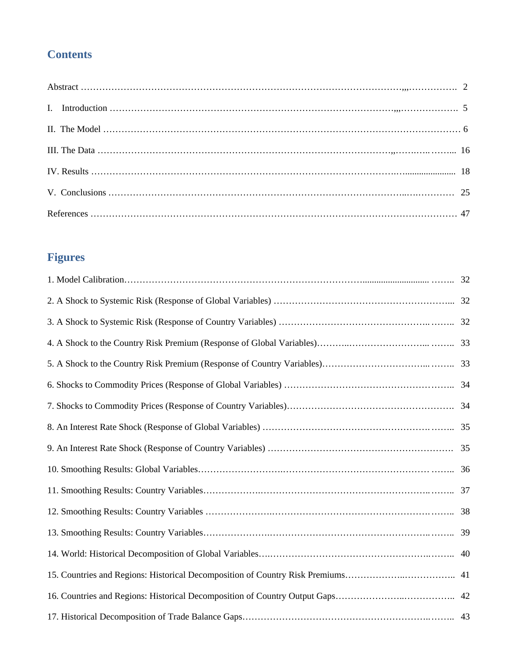# **Contents**

# **Figures**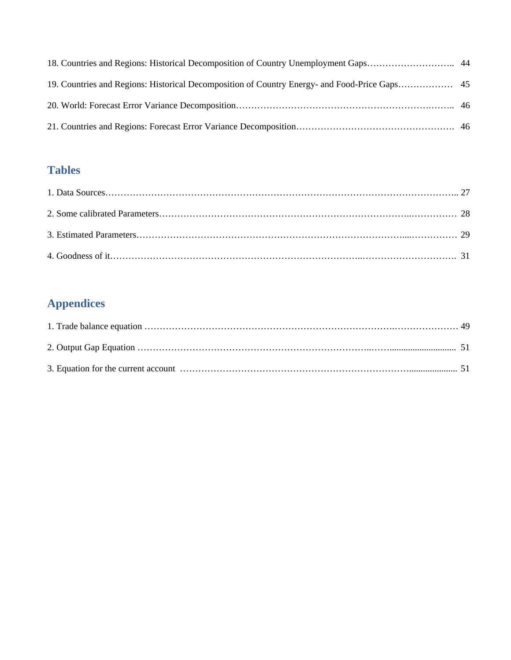# **Tables**

# **Appendices**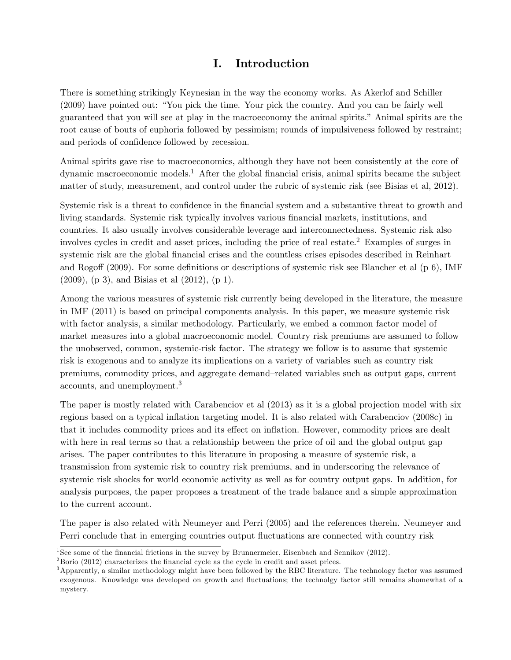# I. Introduction

There is something strikingly Keynesian in the way the economy works. As Akerlof and Schiller (2009) have pointed out: "You pick the time. Your pick the country. And you can be fairly well guaranteed that you will see at play in the macroeconomy the animal spirits.îAnimal spirits are the root cause of bouts of euphoria followed by pessimism; rounds of impulsiveness followed by restraint; and periods of confidence followed by recession.

Animal spirits gave rise to macroeconomics, although they have not been consistently at the core of dynamic macroeconomic models.<sup>1</sup> After the global financial crisis, animal spirits became the subject matter of study, measurement, and control under the rubric of systemic risk (see Bisias et al, 2012).

Systemic risk is a threat to confidence in the financial system and a substantive threat to growth and living standards. Systemic risk typically involves various financial markets, institutions, and countries. It also usually involves considerable leverage and interconnectedness. Systemic risk also involves cycles in credit and asset prices, including the price of real estate.<sup>2</sup> Examples of surges in systemic risk are the global financial crises and the countless crises episodes described in Reinhart and Rogoff (2009). For some definitions or descriptions of systemic risk see Blancher et al  $(p 6)$ , IMF (2009), (p 3), and Bisias et al (2012), (p 1).

Among the various measures of systemic risk currently being developed in the literature, the measure in IMF (2011) is based on principal components analysis. In this paper, we measure systemic risk with factor analysis, a similar methodology. Particularly, we embed a common factor model of market measures into a global macroeconomic model. Country risk premiums are assumed to follow the unobserved, common, systemic-risk factor. The strategy we follow is to assume that systemic risk is exogenous and to analyze its implications on a variety of variables such as country risk premiums, commodity prices, and aggregate demand–related variables such as output gaps, current accounts, and unemployment.<sup>3</sup>

The paper is mostly related with Carabenciov et al (2013) as it is a global projection model with six regions based on a typical inflation targeting model. It is also related with Carabenciov (2008c) in that it includes commodity prices and its effect on inflation. However, commodity prices are dealt with here in real terms so that a relationship between the price of oil and the global output gap arises. The paper contributes to this literature in proposing a measure of systemic risk, a transmission from systemic risk to country risk premiums, and in underscoring the relevance of systemic risk shocks for world economic activity as well as for country output gaps. In addition, for analysis purposes, the paper proposes a treatment of the trade balance and a simple approximation to the current account.

The paper is also related with Neumeyer and Perri (2005) and the references therein. Neumeyer and Perri conclude that in emerging countries output fluctuations are connected with country risk

<sup>&</sup>lt;sup>1</sup> See some of the financial frictions in the survey by Brunnermeier, Eisenbach and Sennikov (2012).

 $2^2$ Borio (2012) characterizes the financial cycle as the cycle in credit and asset prices.

<sup>&</sup>lt;sup>3</sup>Apparently, a similar methodology might have been followed by the RBC literature. The technology factor was assumed exogenous. Knowledge was developed on growth and fluctuations; the technolgy factor still remains shomewhat of a mystery.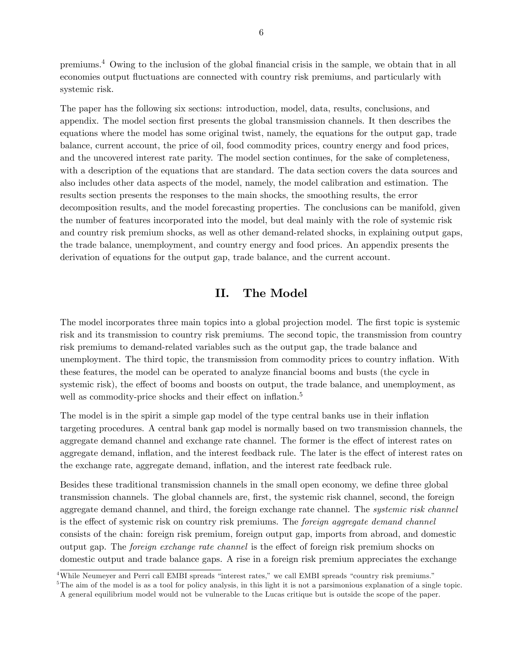premiums.<sup>4</sup> Owing to the inclusion of the global financial crisis in the sample, we obtain that in all economies output fluctuations are connected with country risk premiums, and particularly with systemic risk.

The paper has the following six sections: introduction, model, data, results, conclusions, and appendix. The model section first presents the global transmission channels. It then describes the equations where the model has some original twist, namely, the equations for the output gap, trade balance, current account, the price of oil, food commodity prices, country energy and food prices, and the uncovered interest rate parity. The model section continues, for the sake of completeness, with a description of the equations that are standard. The data section covers the data sources and also includes other data aspects of the model, namely, the model calibration and estimation. The results section presents the responses to the main shocks, the smoothing results, the error decomposition results, and the model forecasting properties. The conclusions can be manifold, given the number of features incorporated into the model, but deal mainly with the role of systemic risk and country risk premium shocks, as well as other demand-related shocks, in explaining output gaps, the trade balance, unemployment, and country energy and food prices. An appendix presents the derivation of equations for the output gap, trade balance, and the current account.

# II. The Model

The model incorporates three main topics into a global projection model. The first topic is systemic risk and its transmission to country risk premiums. The second topic, the transmission from country risk premiums to demand-related variables such as the output gap, the trade balance and unemployment. The third topic, the transmission from commodity prices to country ináation. With these features, the model can be operated to analyze financial booms and busts (the cycle in systemic risk), the effect of booms and boosts on output, the trade balance, and unemployment, as well as commodity-price shocks and their effect on inflation.<sup>5</sup>

The model is in the spirit a simple gap model of the type central banks use in their inflation targeting procedures. A central bank gap model is normally based on two transmission channels, the aggregate demand channel and exchange rate channel. The former is the effect of interest rates on aggregate demand, inflation, and the interest feedback rule. The later is the effect of interest rates on the exchange rate, aggregate demand, inflation, and the interest rate feedback rule.

Besides these traditional transmission channels in the small open economy, we define three global transmission channels. The global channels are, Örst, the systemic risk channel, second, the foreign aggregate demand channel, and third, the foreign exchange rate channel. The *systemic risk channel* is the effect of systemic risk on country risk premiums. The foreign aggregate demand channel consists of the chain: foreign risk premium, foreign output gap, imports from abroad, and domestic output gap. The *foreign exchange rate channel* is the effect of foreign risk premium shocks on domestic output and trade balance gaps. A rise in a foreign risk premium appreciates the exchange

 ${}^{5}$ The aim of the model is as a tool for policy analysis, in this light it is not a parsimonious explanation of a single topic. A general equilibrium model would not be vulnerable to the Lucas critique but is outside the scope of the paper.

 $\overline{\text{4-4}}$ While Neumeyer and Perri call EMBI spreads "interest rates," we call EMBI spreads "country risk premiums."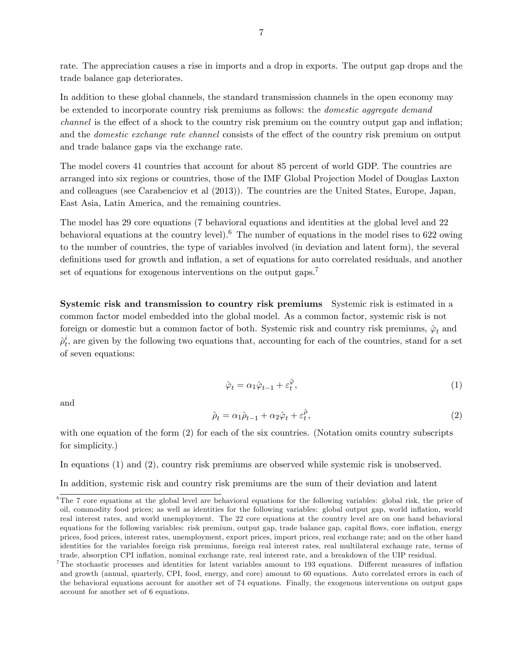rate. The appreciation causes a rise in imports and a drop in exports. The output gap drops and the trade balance gap deteriorates.

In addition to these global channels, the standard transmission channels in the open economy may be extended to incorporate country risk premiums as follows: the domestic aggregate demand *channel* is the effect of a shock to the country risk premium on the country output gap and inflation; and the *domestic exchange rate channel* consists of the effect of the country risk premium on output and trade balance gaps via the exchange rate.

The model covers 41 countries that account for about 85 percent of world GDP. The countries are arranged into six regions or countries, those of the IMF Global Projection Model of Douglas Laxton and colleagues (see Carabenciov et al (2013)). The countries are the United States, Europe, Japan, East Asia, Latin America, and the remaining countries.

The model has 29 core equations (7 behavioral equations and identities at the global level and 22 behavioral equations at the country level).<sup>6</sup> The number of equations in the model rises to 622 owing to the number of countries, the type of variables involved (in deviation and latent form), the several definitions used for growth and inflation, a set of equations for auto correlated residuals, and another set of equations for exogenous interventions on the output gaps.<sup>7</sup>

Systemic risk and transmission to country risk premiums Systemic risk is estimated in a common factor model embedded into the global model. As a common factor, systemic risk is not foreign or domestic but a common factor of both. Systemic risk and country risk premiums,  $\hat{\varphi}_t$  and  $\hat{\rho}^i_t$ , are given by the following two equations that, accounting for each of the countries, stand for a set of seven equations:

$$
\hat{\varphi}_t = \alpha_1 \hat{\varphi}_{t-1} + \varepsilon_t^{\hat{\varphi}},\tag{1}
$$

and

$$
\hat{\rho}_t = \alpha_1 \hat{\rho}_{t-1} + \alpha_2 \hat{\varphi}_t + \varepsilon_t^{\hat{\rho}},\tag{2}
$$

with one equation of the form (2) for each of the six countries. (Notation omits country subscripts for simplicity.)

In equations (1) and (2), country risk premiums are observed while systemic risk is unobserved.

In addition, systemic risk and country risk premiums are the sum of their deviation and latent

 ${}^{6}$ The 7 core equations at the global level are behavioral equations for the following variables: global risk, the price of oil, commodity food prices; as well as identities for the following variables: global output gap, world ináation, world real interest rates, and world unemployment. The 22 core equations at the country level are on one hand behavioral equations for the following variables: risk premium, output gap, trade balance gap, capital flows, core inflation, energy prices, food prices, interest rates, unemployment, export prices, import prices, real exchange rate; and on the other hand identities for the variables foreign risk premiums, foreign real interest rates, real multilateral exchange rate, terms of trade, absorption CPI ináation, nominal exchange rate, real interest rate, and a breakdown of the UIP residual.

 $7$ The stochastic processes and identities for latent variables amount to 193 equations. Different measures of inflation and growth (annual, quarterly, CPI, food, energy, and core) amount to 60 equations. Auto correlated errors in each of the behavioral equations account for another set of 74 equations. Finally, the exogenous interventions on output gaps account for another set of 6 equations.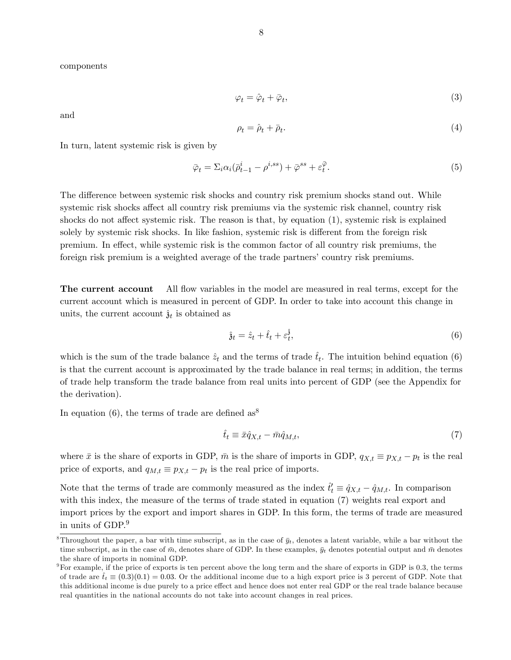components

$$
\varphi_t = \hat{\varphi}_t + \bar{\varphi}_t,\tag{3}
$$

and

$$
\rho_t = \hat{\rho}_t + \bar{\rho}_t. \tag{4}
$$

In turn, latent systemic risk is given by

$$
\bar{\varphi}_t = \Sigma_i \alpha_i (\bar{\rho}_{t-1}^i - \rho^{i,ss}) + \bar{\varphi}^{ss} + \varepsilon_t^{\bar{\varphi}}.
$$
\n
$$
\tag{5}
$$

The difference between systemic risk shocks and country risk premium shocks stand out. While systemic risk shocks affect all country risk premiums via the systemic risk channel, country risk shocks do not affect systemic risk. The reason is that, by equation  $(1)$ , systemic risk is explained solely by systemic risk shocks. In like fashion, systemic risk is different from the foreign risk premium. In effect, while systemic risk is the common factor of all country risk premiums, the foreign risk premium is a weighted average of the trade partners' country risk premiums.

The current account All flow variables in the model are measured in real terms, except for the current account which is measured in percent of GDP. In order to take into account this change in units, the current account  $\hat{\mathfrak{z}}_t$  is obtained as

$$
\hat{\mathfrak{z}}_t = \hat{z}_t + \hat{t}_t + \varepsilon_t^{\hat{\mathfrak{z}}},\tag{6}
$$

which is the sum of the trade balance  $\hat{z}_t$  and the terms of trade  $\hat{t}_t$ . The intuition behind equation (6) is that the current account is approximated by the trade balance in real terms; in addition, the terms of trade help transform the trade balance from real units into percent of GDP (see the Appendix for the derivation).

In equation (6), the terms of trade are defined as  $8^8$ 

$$
\hat{t}_t \equiv \bar{x}\hat{q}_{X,t} - \bar{m}\hat{q}_{M,t},\tag{7}
$$

where  $\bar{x}$  is the share of exports in GDP,  $\bar{m}$  is the share of imports in GDP,  $q_{X,t} \equiv p_{X,t} - p_t$  is the real price of exports, and  $q_{M,t} \equiv p_{X,t} - p_t$  is the real price of imports.

Note that the terms of trade are commonly measured as the index  $\hat{t}'_t \equiv \hat{q}_{X,t} - \hat{q}_{M,t}$ . In comparison with this index, the measure of the terms of trade stated in equation (7) weights real export and import prices by the export and import shares in GDP. In this form, the terms of trade are measured in units of GDP.<sup>9</sup>

<sup>&</sup>lt;sup>8</sup>Throughout the paper, a bar with time subscript, as in the case of  $\bar{y}_t$ , denotes a latent variable, while a bar without the time subscript, as in the case of  $\bar{m}$ , denotes share of GDP. In these examples,  $\bar{y}_t$  denotes potential output and  $\bar{m}$  denotes the share of imports in nominal GDP.

 $9$ For example, if the price of exports is ten percent above the long term and the share of exports in GDP is 0.3, the terms of trade are  $\hat{t}_t \equiv (0.3)(0.1) = 0.03$ . Or the additional income due to a high export price is 3 percent of GDP. Note that this additional income is due purely to a price effect and hence does not enter real GDP or the real trade balance because real quantities in the national accounts do not take into account changes in real prices.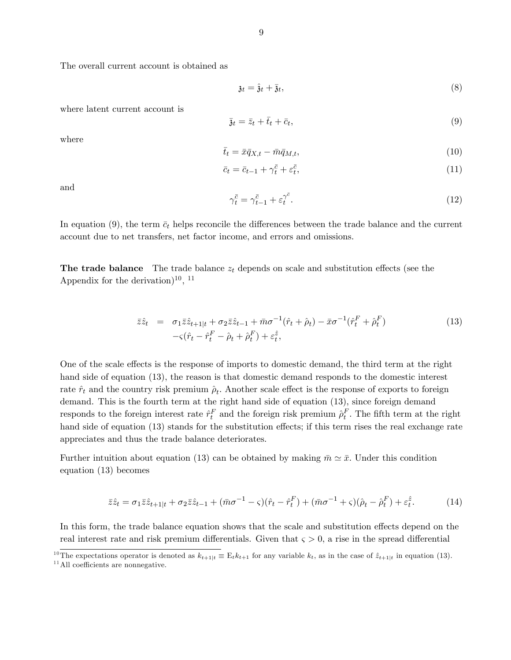The overall current account is obtained as

$$
\mathfrak{z}_t = \hat{\mathfrak{z}}_t + \bar{\mathfrak{z}}_t,\tag{8}
$$

where latent current account is

$$
\bar{\mathbf{z}}_t = \bar{z}_t + \bar{t}_t + \bar{c}_t,\tag{9}
$$

where

$$
\bar{t}_t = \bar{x}\bar{q}_{X,t} - \bar{m}\bar{q}_{M,t},\tag{10}
$$

$$
\bar{c}_t = \bar{c}_{t-1} + \gamma_t^{\bar{c}} + \varepsilon_t^{\bar{c}},\tag{11}
$$

and

$$
\gamma_t^{\bar{c}} = \gamma_{t-1}^{\bar{c}} + \varepsilon_t^{\gamma^{\bar{c}}}.\tag{12}
$$

In equation (9), the term  $\bar{c}_t$  helps reconcile the differences between the trade balance and the current account due to net transfers, net factor income, and errors and omissions.

**The trade balance** The trade balance  $z_t$  depends on scale and substitution effects (see the Appendix for the derivation)<sup>10</sup>, <sup>11</sup>

$$
\bar{z}\hat{z}_t = \sigma_1 \bar{z}\hat{z}_{t+1|t} + \sigma_2 \bar{z}\hat{z}_{t-1} + \bar{m}\sigma^{-1}(\hat{r}_t + \hat{\rho}_t) - \bar{x}\sigma^{-1}(\hat{r}_t^F + \hat{\rho}_t^F) \n- \zeta(\hat{r}_t - \hat{r}_t^F - \hat{\rho}_t + \hat{\rho}_t^F) + \varepsilon_t^{\hat{z}},
$$
\n(13)

One of the scale effects is the response of imports to domestic demand, the third term at the right hand side of equation (13), the reason is that domestic demand responds to the domestic interest rate  $\hat{r}_t$  and the country risk premium  $\hat{\rho}_t$ . Another scale effect is the response of exports to foreign demand. This is the fourth term at the right hand side of equation (13), since foreign demand responds to the foreign interest rate  $\hat{r}_t^F$  and the foreign risk premium  $\hat{\rho}_t^F$ . The fifth term at the right hand side of equation (13) stands for the substitution effects; if this term rises the real exchange rate appreciates and thus the trade balance deteriorates.

Further intuition about equation (13) can be obtained by making  $\bar{m} \simeq \bar{x}$ . Under this condition equation (13) becomes

$$
\bar{z}\hat{z}_t = \sigma_1 \bar{z}\hat{z}_{t+1|t} + \sigma_2 \bar{z}\hat{z}_{t-1} + (\bar{m}\sigma^{-1} - \varsigma)(\hat{r}_t - \hat{r}_t^F) + (\bar{m}\sigma^{-1} + \varsigma)(\hat{\rho}_t - \hat{\rho}_t^F) + \varepsilon_t^{\hat{z}}.
$$
(14)

In this form, the trade balance equation shows that the scale and substitution effects depend on the real interest rate and risk premium differentials. Given that  $\varsigma > 0$ , a rise in the spread differential

<sup>&</sup>lt;sup>10</sup>The expectations operator is denoted as  $k_{t+1|t} \equiv E_t k_{t+1}$  for any variable  $k_t$ , as in the case of  $\hat{z}_{t+1|t}$  in equation (13).

 $11$ All coefficients are nonnegative.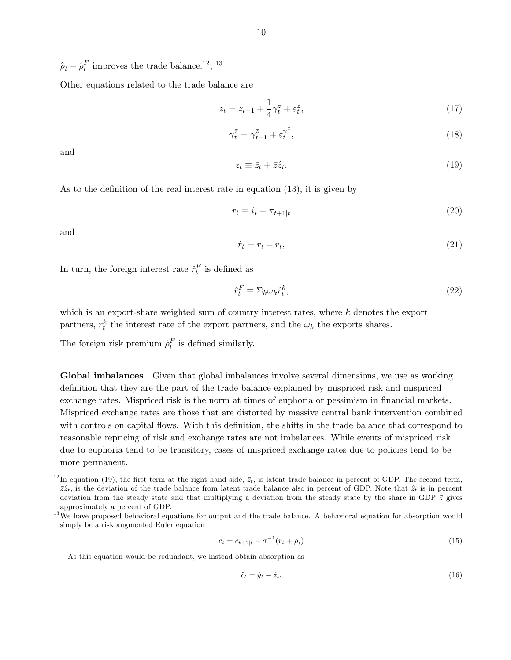$\hat{\rho}_t - \hat{\rho}_t^F$  improves the trade balance.<sup>12</sup>, <sup>13</sup>

Other equations related to the trade balance are

$$
\bar{z}_t = \bar{z}_{t-1} + \frac{1}{4} \gamma_t^{\bar{z}} + \varepsilon_t^{\bar{z}},\tag{17}
$$

$$
\gamma_t^{\bar{z}} = \gamma_{t-1}^{\bar{z}} + \varepsilon_t^{\gamma^{\bar{z}}},\tag{18}
$$

and

$$
z_t \equiv \bar{z}_t + \bar{z}\hat{z}_t. \tag{19}
$$

As to the definition of the real interest rate in equation  $(13)$ , it is given by

$$
r_t \equiv i_t - \pi_{t+1|t} \tag{20}
$$

and

$$
\hat{r}_t = r_t - \bar{r}_t,\tag{21}
$$

In turn, the foreign interest rate  $\hat{r}_t^F$  is defined as

$$
\hat{r}_t^F \equiv \Sigma_k \omega_k \hat{r}_t^k,\tag{22}
$$

which is an export-share weighted sum of country interest rates, where  $k$  denotes the export partners,  $r_t^k$  the interest rate of the export partners, and the  $\omega_k$  the exports shares.

The foreign risk premium  $\rho_t^F$  is defined similarly.

Global imbalances Given that global imbalances involve several dimensions, we use as working definition that they are the part of the trade balance explained by mispriced risk and mispriced exchange rates. Mispriced risk is the norm at times of euphoria or pessimism in financial markets. Mispriced exchange rates are those that are distorted by massive central bank intervention combined with controls on capital flows. With this definition, the shifts in the trade balance that correspond to reasonable repricing of risk and exchange rates are not imbalances. While events of mispriced risk due to euphoria tend to be transitory, cases of mispriced exchange rates due to policies tend to be more permanent.

$$
c_t = c_{t+1|t} - \sigma^{-1}(r_t + \rho_t)
$$
\n(15)

As this equation would be redundant, we instead obtain absorption as

$$
\hat{c}_t = \hat{y}_t - \hat{z}_t. \tag{16}
$$

<sup>&</sup>lt;sup>12</sup>In equation (19), the first term at the right hand side,  $\bar{z}_t$ , is latent trade balance in percent of GDP. The second term,  $\bar{z}\hat{z}_t$  is the deviation of the trade balance from latent trade balance also in percent of GDP. Note that  $\hat{z}_t$  is in percent deviation from the steady state and that multiplying a deviation from the steady state by the share in GDP  $\bar{z}$  gives approximately a percent of GDP.

<sup>&</sup>lt;sup>13</sup>We have proposed behavioral equations for output and the trade balance. A behavioral equation for absorption would simply be a risk augmented Euler equation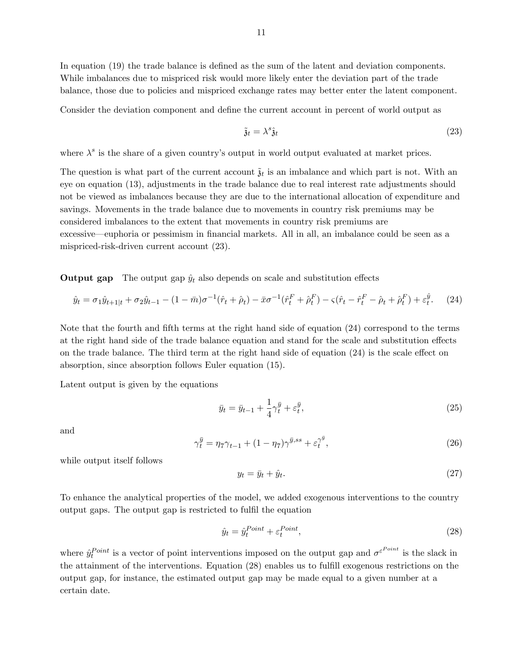In equation (19) the trade balance is defined as the sum of the latent and deviation components. While imbalances due to mispriced risk would more likely enter the deviation part of the trade balance, those due to policies and mispriced exchange rates may better enter the latent component.

Consider the deviation component and define the current account in percent of world output as

$$
\tilde{\mathfrak{z}}_t = \lambda^s \hat{\mathfrak{z}}_t \tag{23}
$$

where  $\lambda^s$  is the share of a given country's output in world output evaluated at market prices.

The question is what part of the current account  $\tilde{\mathfrak{z}}_t$  is an imbalance and which part is not. With an eye on equation (13), adjustments in the trade balance due to real interest rate adjustments should not be viewed as imbalances because they are due to the international allocation of expenditure and savings. Movements in the trade balance due to movements in country risk premiums may be considered imbalances to the extent that movements in country risk premiums are excessive—euphoria or pessimism in financial markets. All in all, an imbalance could be seen as a mispriced-risk-driven current account (23).

**Output gap** The output gap  $\hat{y}_t$  also depends on scale and substitution effects

$$
\hat{y}_t = \sigma_1 \hat{y}_{t+1|t} + \sigma_2 \hat{y}_{t-1} - (1 - \bar{m})\sigma^{-1}(\hat{r}_t + \hat{\rho}_t) - \bar{x}\sigma^{-1}(\hat{r}_t^F + \hat{\rho}_t^F) - \varsigma(\hat{r}_t - \hat{r}_t^F - \hat{\rho}_t + \hat{\rho}_t^F) + \varepsilon_t^{\hat{y}}.
$$
 (24)

Note that the fourth and fifth terms at the right hand side of equation (24) correspond to the terms at the right hand side of the trade balance equation and stand for the scale and substitution effects on the trade balance. The third term at the right hand side of equation  $(24)$  is the scale effect on absorption, since absorption follows Euler equation (15).

Latent output is given by the equations

$$
\bar{y}_t = \bar{y}_{t-1} + \frac{1}{4} \gamma_t^{\bar{y}} + \varepsilon_t^{\bar{y}},\tag{25}
$$

and

$$
\gamma_t^{\bar{y}} = \eta_7 \gamma_{t-1} + (1 - \eta_7) \gamma^{\bar{y},ss} + \varepsilon_t^{\gamma^{\bar{y}}},\tag{26}
$$

while output itself follows

$$
y_t = \bar{y}_t + \hat{y}_t. \tag{27}
$$

To enhance the analytical properties of the model, we added exogenous interventions to the country output gaps. The output gap is restricted to fulfil the equation

$$
\hat{y}_t = \hat{y}_t^{Point} + \varepsilon_t^{Point},\tag{28}
$$

where  $\hat{y}_t^{Point}$  is a vector of point interventions imposed on the output gap and  $\sigma^{\varepsilon^{Point}}$  is the slack in the attainment of the interventions. Equation  $(28)$  enables us to fulfill exogenous restrictions on the output gap, for instance, the estimated output gap may be made equal to a given number at a certain date.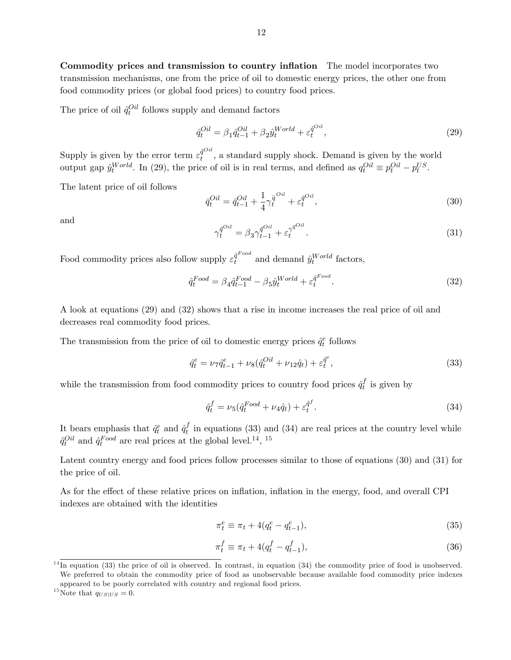Commodity prices and transmission to country inflation The model incorporates two transmission mechanisms, one from the price of oil to domestic energy prices, the other one from food commodity prices (or global food prices) to country food prices.

The price of oil  $\hat{q}_t^{Oil}$  follows supply and demand factors

$$
\hat{q}_t^{Oil} = \beta_1 \hat{q}_{t-1}^{Oil} + \beta_2 \hat{y}_t^{World} + \varepsilon_t^{\hat{q}^{Oil}},\tag{29}
$$

Supply is given by the error term  $\varepsilon_t^{\hat{q}^{Oil}}$  $t^{\text{q}}$ , a standard supply shock. Demand is given by the world output gap  $\hat{y}_t^{World}$ . In (29), the price of oil is in real terms, and defined as  $q_t^{Oil} \equiv p_t^{Oil} - p_t^{US}$ .

The latent price of oil follows

$$
\bar{q}_t^{Oil} = \bar{q}_{t-1}^{Oil} + \frac{1}{4} \gamma_t^{\bar{q}^{Oil}} + \varepsilon_t^{\bar{q}^{Oil}},\tag{30}
$$

and

$$
\gamma_t^{\bar{q}^{Oil}} = \beta_3 \gamma_{t-1}^{\bar{q}^{Oil}} + \varepsilon_t^{\gamma^{\bar{q}^{Oil}}}.
$$
\n(31)

Food commodity prices also follow supply  $\varepsilon_t^{\hat{q}^{Food}}$  $\hat{q}^{T\,ood}$  and demand  $\hat{y}^{World}_{t}$  factors,

$$
\hat{q}_t^{Food} = \beta_4 \hat{q}_{t-1}^{Food} - \beta_5 \hat{y}_t^{World} + \varepsilon_t^{\hat{q}^{Food}}.
$$
\n(32)

A look at equations (29) and (32) shows that a rise in income increases the real price of oil and decreases real commodity food prices.

The transmission from the price of oil to domestic energy prices  $\hat{q}^e_t$  follows

$$
\hat{q}_t^e = \nu_7 \hat{q}_{t-1}^e + \nu_8 (\hat{q}_t^{Oil} + \nu_{12} \hat{q}_t) + \varepsilon_t^{\hat{q}^e},\tag{33}
$$

while the transmission from food commodity prices to country food prices  $\hat{q}^f_t$  $t_i$  is given by

$$
\hat{q}_t^f = \nu_5(\hat{q}_t^{Food} + \nu_4 \hat{q}_t) + \varepsilon_t^{\hat{q}^f}.\tag{34}
$$

It bears emphasis that  $\hat{q}^e_t$  and  $\hat{q}^f_t$  $t<sub>t</sub>$  in equations (33) and (34) are real prices at the country level while  $\hat{q}^{Oil}_{t}$  and  $\hat{q}^{Food}_{t}$  are real prices at the global level.<sup>14</sup>, <sup>15</sup>

Latent country energy and food prices follow processes similar to those of equations (30) and (31) for the price of oil.

As for the effect of these relative prices on inflation, inflation in the energy, food, and overall CPI indexes are obtained with the identities

$$
\pi_t^e \equiv \pi_t + 4(q_t^e - q_{t-1}^e),\tag{35}
$$

$$
\pi_t^f \equiv \pi_t + 4(q_t^f - q_{t-1}^f), \tag{36}
$$

 $^{14}$ In equation (33) the price of oil is observed. In contrast, in equation (34) the commodity price of food is unobserved. We preferred to obtain the commodity price of food as unobservable because available food commodity price indexes appeared to be poorly correlated with country and regional food prices.

<sup>&</sup>lt;sup>15</sup>Note that  $q_{US|US} = 0$ .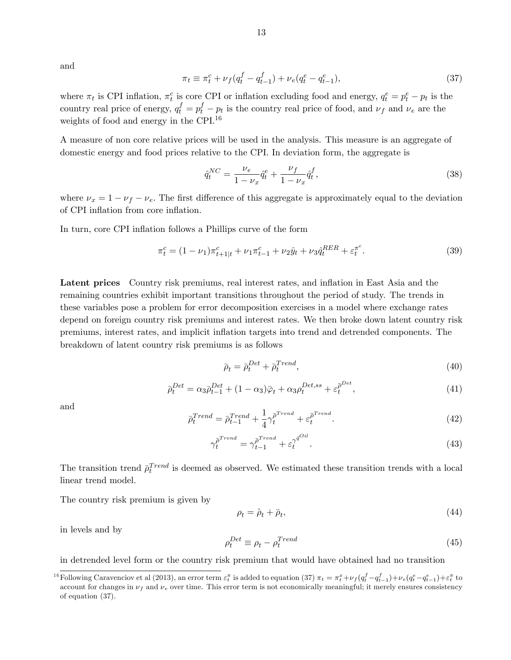and

$$
\pi_t \equiv \pi_t^c + \nu_f (q_t^f - q_{t-1}^f) + \nu_e (q_t^e - q_{t-1}^e), \tag{37}
$$

where  $\pi_t$  is CPI inflation,  $\pi_t^c$  is core CPI or inflation excluding food and energy,  $q_t^e = p_t^e - p_t$  is the country real price of energy,  $q_t^f = p_t^f - p_t$  is the country real price of food, and  $\nu_f$  and  $\nu_e$  are the weights of food and energy in the CPI.<sup>16</sup>

A measure of non core relative prices will be used in the analysis. This measure is an aggregate of domestic energy and food prices relative to the CPI. In deviation form, the aggregate is

$$
\hat{q}_t^{NC} = \frac{\nu_e}{1 - \nu_x} \hat{q}_t^e + \frac{\nu_f}{1 - \nu_x} \hat{q}_t^f,\tag{38}
$$

where  $\nu_x = 1 - \nu_f - \nu_e$ . The first difference of this aggregate is approximately equal to the deviation of CPI inflation from core inflation.

In turn, core CPI inflation follows a Phillips curve of the form

$$
\pi_t^c = (1 - \nu_1)\pi_{t+1|t}^c + \nu_1 \pi_{t-1}^c + \nu_2 \hat{y}_t + \nu_3 \hat{q}_t^{RER} + \varepsilon_t^{\pi^c}.
$$
\n(39)

Latent prices Country risk premiums, real interest rates, and inflation in East Asia and the remaining countries exhibit important transitions throughout the period of study. The trends in these variables pose a problem for error decomposition exercises in a model where exchange rates depend on foreign country risk premiums and interest rates. We then broke down latent country risk premiums, interest rates, and implicit ináation targets into trend and detrended components. The breakdown of latent country risk premiums is as follows

$$
\bar{\rho}_t = \bar{\rho}_t^{Det} + \bar{\rho}_t^{Trend},\tag{40}
$$

$$
\bar{\rho}_t^{Det} = \alpha_3 \bar{\rho}_{t-1}^{Det} + (1 - \alpha_3)\bar{\varphi}_t + \alpha_3 \rho_t^{Det,ss} + \varepsilon_t^{\bar{\rho}^{Det}},\tag{41}
$$

and

$$
\bar{\rho}_t^{Trend} = \bar{\rho}_{t-1}^{Trend} + \frac{1}{4} \gamma_t^{\bar{\rho}^{Trend}} + \varepsilon_t^{\bar{\rho}^{Trend}}.
$$
\n(42)

$$
\gamma_t^{\bar{\rho}^{Trend}} = \gamma_{t-1}^{\bar{\rho}^{Trend}} + \varepsilon_t^{\gamma^{\bar{q}^{Oil}}}.
$$
\n(43)

The transition trend  $\bar{\rho}^{Trend}_{t}$  is deemed as observed. We estimated these transition trends with a local linear trend model.

The country risk premium is given by

$$
\rho_t = \hat{\rho}_t + \bar{\rho}_t,\tag{44}
$$

in levels and by

$$
\rho_t^{Det} \equiv \rho_t - \rho_t^{Trend} \tag{45}
$$

in detrended level form or the country risk premium that would have obtained had no transition

<sup>&</sup>lt;sup>16</sup>Following Caravenciov et al (2013), an error term  $\varepsilon_t^{\pi}$  is added to equation (37)  $\pi_t = \pi_t^x + \nu_f (q_t^f - q_{t-1}^f) + \nu_e (q_t^e - q_{t-1}^e) + \varepsilon_t^{\pi}$  to account for changes in  $\nu_f$  and  $\nu_e$  over time. This error term is not economically meaningful; it merely ensures consistency of equation (37).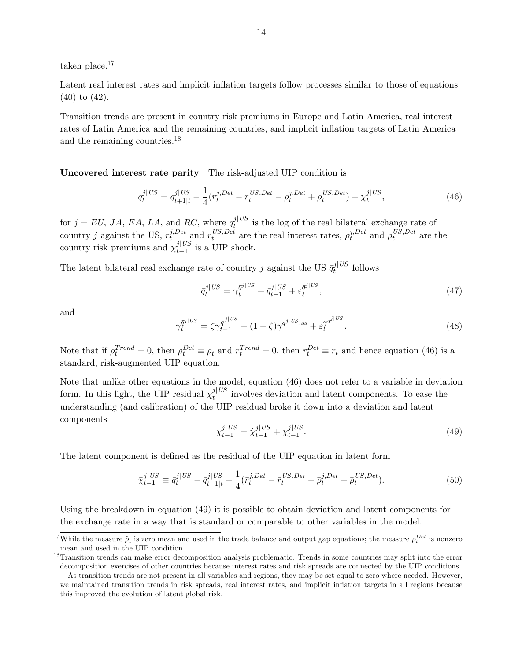taken place.<sup>17</sup>

Latent real interest rates and implicit inflation targets follow processes similar to those of equations (40) to (42).

Transition trends are present in country risk premiums in Europe and Latin America, real interest rates of Latin America and the remaining countries, and implicit inflation targets of Latin America and the remaining countries.<sup>18</sup>

Uncovered interest rate parity The risk-adjusted UIP condition is

$$
q_t^{j|US} = q_{t+1|t}^{j|US} - \frac{1}{4} (r_t^{j, Det} - r_t^{US, Det} - \rho_t^{j, Det} + \rho_t^{US, Det}) + \chi_t^{j|US},\tag{46}
$$

for  $j = EU, JA, EA, LA$ , and RC, where  $q_t^{j|US}$  is the log of the real bilateral exchange rate of country j against the US,  $r_t^{j,Det}$  $t \text{ and } r_t^{US, Det}$  $t_i^{US, Det}$  are the real interest rates,  $\rho_t^{j, Det}$  $i_t^{j, Det}$  and  $\rho_t^{US, Det}$  $t^{US,Det}$  are the country risk premiums and  $\chi_{t-1}^{j|US}$  $t-1$  is a UIP shock.

The latent bilateral real exchange rate of country j against the US  $\bar{q}_t^{j|US}$  follows

$$
\bar{q}_t^{j|US} = \gamma_t^{\bar{q}^{j|US}} + \bar{q}_{t-1}^{j|US} + \varepsilon_t^{\bar{q}^{j|US}},\tag{47}
$$

and

$$
\gamma_t^{\bar{q}^{j|US}} = \zeta \gamma_{t-1}^{\bar{q}^{j|US}} + (1 - \zeta) \gamma^{\bar{q}^{j|US},ss} + \varepsilon_t^{\gamma^{\bar{q}^{j|US}}}. \tag{48}
$$

Note that if  $\rho_t^{Trend} = 0$ , then  $\rho_t^{Det} \equiv \rho_t$  and  $r_t^{Trend} = 0$ , then  $r_t^{Det} \equiv r_t$  and hence equation (46) is a standard, risk-augmented UIP equation.

Note that unlike other equations in the model, equation (46) does not refer to a variable in deviation form. In this light, the UIP residual  $\chi_t^{j|US}$  involves deviation and latent components. To ease the understanding (and calibration) of the UIP residual broke it down into a deviation and latent components

$$
\chi_{t-1}^{j|US} = \hat{\chi}_{t-1}^{j|US} + \bar{\chi}_{t-1}^{j|US}.
$$
\n(49)

The latent component is defined as the residual of the UIP equation in latent form

$$
\bar{\chi}_{t-1}^{j|US} \equiv \bar{q}_t^{j|US} - \bar{q}_{t+1|t}^{j|US} + \frac{1}{4} (\bar{r}_t^{j, Det} - \bar{r}_t^{US, Det} - \bar{\rho}_t^{j, Det} + \bar{\rho}_t^{US, Det}). \tag{50}
$$

Using the breakdown in equation (49) it is possible to obtain deviation and latent components for the exchange rate in a way that is standard or comparable to other variables in the model.

<sup>&</sup>lt;sup>17</sup>While the measure  $\hat{\rho}_t$  is zero mean and used in the trade balance and output gap equations; the measure  $\rho_t^{Det}$  is nonzero mean and used in the UIP condition.

<sup>&</sup>lt;sup>18</sup>Transition trends can make error decomposition analysis problematic. Trends in some countries may split into the error decomposition exercises of other countries because interest rates and risk spreads are connected by the UIP conditions. As transition trends are not present in all variables and regions, they may be set equal to zero where needed. However, we maintained transition trends in risk spreads, real interest rates, and implicit ináation targets in all regions because this improved the evolution of latent global risk.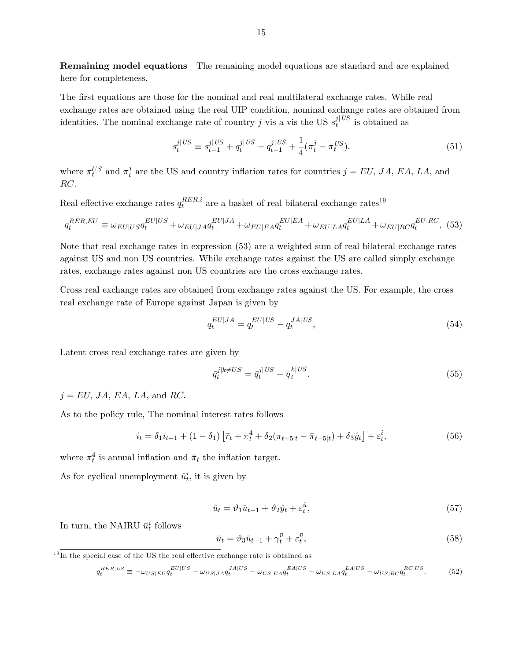Remaining model equations The remaining model equations are standard and are explained here for completeness.

The first equations are those for the nominal and real multilateral exchange rates. While real exchange rates are obtained using the real UIP condition, nominal exchange rates are obtained from identities. The nominal exchange rate of country j vis a vis the US  $s_t^{j|US}$  is obtained as

$$
s_t^{j|US} \equiv s_{t-1}^{j|US} + q_t^{j|US} - q_{t-1}^{j|US} + \frac{1}{4}(\pi_t^j - \pi_t^{US}).\tag{51}
$$

where  $\pi_t^{US}$  and  $\pi_t^j$  $t<sub>t</sub>$  are the US and country inflation rates for countries  $j = EU, JA, EA, LA$ , and RC.

Real effective exchange rates  $q_t^{RER,i}$  $t_t^{RER,i}$  are a basket of real bilateral exchange rates<sup>19</sup>

$$
q_t^{RER,EU} \equiv \omega_{EU|US} q_t^{EU|US} + \omega_{EU|JA} q_t^{EU|JA} + \omega_{EU|EA} q_t^{EU|EA} + \omega_{EU|LA} q_t^{EU|LA} + \omega_{EU|RC} q_t^{EU|RC},
$$
 (53)

Note that real exchange rates in expression (53) are a weighted sum of real bilateral exchange rates against US and non US countries. While exchange rates against the US are called simply exchange rates, exchange rates against non US countries are the cross exchange rates.

Cross real exchange rates are obtained from exchange rates against the US. For example, the cross real exchange rate of Europe against Japan is given by

$$
q_t^{EU|JA} = q_t^{EU|US} - q_t^{JA|US},\tag{54}
$$

Latent cross real exchange rates are given by

$$
\bar{q}_t^{j|k \neq US} = \bar{q}_t^{j|US} - \bar{q}_t^{k|US}.\tag{55}
$$

 $j = EU, JA, EA, LA, and RC.$ 

As to the policy rule, The nominal interest rates follows

$$
i_t = \delta_1 i_{t-1} + (1 - \delta_1) \left[ \bar{r}_t + \pi_t^4 + \delta_2 (\pi_{t+5|t} - \bar{\pi}_{t+5|t}) + \delta_3 \hat{y}_t \right] + \varepsilon_t^i, \tag{56}
$$

where  $\pi_t^4$  is annual inflation and  $\bar{\pi}_t$  the inflation target.

As for cyclical unemployment  $\hat{u}_t^i$ , it is given by

$$
\hat{u}_t = \vartheta_1 \hat{u}_{t-1} + \vartheta_2 \hat{y}_t + \varepsilon_t^{\hat{u}},\tag{57}
$$

In turn, the NAIRU  $\bar{u}_t^i$  follows

$$
\bar{u}_t = \vartheta_3 \bar{u}_{t-1} + \gamma_t^{\bar{u}} + \varepsilon_t^{\bar{u}},\tag{58}
$$

 $^{19}$ In the special case of the US the real effective exchange rate is obtained as

$$
q_t^{RER, US} \equiv -\omega_{US|EU} q_t^{EU|US} - \omega_{US|JA} q_t^{JA|US} - \omega_{US|EA} q_t^{EA|US} - \omega_{US|LA} q_t^{LA|US} - \omega_{US|RC} q_t^{RC|US}.
$$
 (52)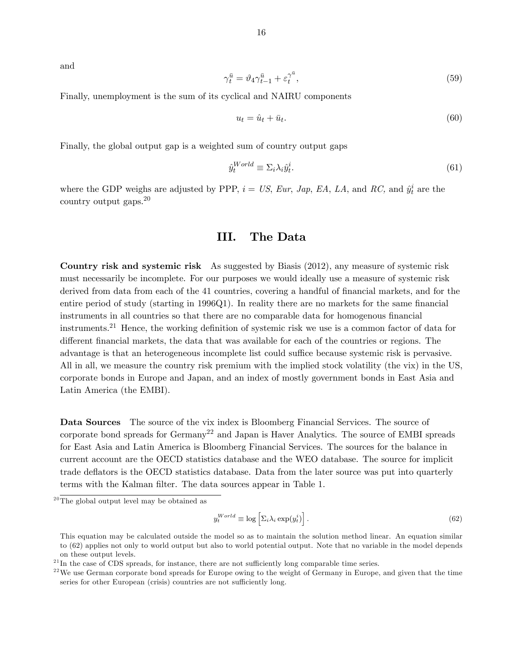and

$$
\gamma_t^{\bar{u}} = \vartheta_4 \gamma_{t-1}^{\bar{u}} + \varepsilon_t^{\gamma^{\bar{u}}},\tag{59}
$$

Finally, unemployment is the sum of its cyclical and NAIRU components

$$
u_t = \hat{u}_t + \bar{u}_t. \tag{60}
$$

Finally, the global output gap is a weighted sum of country output gaps

$$
\hat{y}_t^{World} \equiv \Sigma_i \lambda_i \hat{y}_t^i. \tag{61}
$$

where the GDP weighs are adjusted by PPP,  $i = US$ , Eur, Jap, EA, LA, and RC, and  $\hat{y}_t^i$  are the country output gaps.<sup>20</sup>

# III. The Data

Country risk and systemic risk As suggested by Biasis (2012), any measure of systemic risk must necessarily be incomplete. For our purposes we would ideally use a measure of systemic risk derived from data from each of the 41 countries, covering a handful of financial markets, and for the entire period of study (starting in  $1996Q1$ ). In reality there are no markets for the same financial instruments in all countries so that there are no comparable data for homogenous financial instruments.<sup>21</sup> Hence, the working definition of systemic risk we use is a common factor of data for different financial markets, the data that was available for each of the countries or regions. The advantage is that an heterogeneous incomplete list could suffice because systemic risk is pervasive. All in all, we measure the country risk premium with the implied stock volatility (the vix) in the US, corporate bonds in Europe and Japan, and an index of mostly government bonds in East Asia and Latin America (the EMBI).

Data Sources The source of the vix index is Bloomberg Financial Services. The source of corporate bond spreads for Germany<sup>22</sup> and Japan is Haver Analytics. The source of EMBI spreads for East Asia and Latin America is Bloomberg Financial Services. The sources for the balance in current account are the OECD statistics database and the WEO database. The source for implicit trade deflators is the OECD statistics database. Data from the later source was put into quarterly terms with the Kalman filter. The data sources appear in Table 1.

$$
y_t^{World} \equiv \log \left[ \Sigma_i \lambda_i \exp(y_t^i) \right]. \tag{62}
$$

 $^{20}$ The global output level may be obtained as

This equation may be calculated outside the model so as to maintain the solution method linear. An equation similar to (62) applies not only to world output but also to world potential output. Note that no variable in the model depends on these output levels.

 $^{21}$ In the case of CDS spreads, for instance, there are not sufficiently long comparable time series.

 $22$ We use German corporate bond spreads for Europe owing to the weight of Germany in Europe, and given that the time series for other European (crisis) countries are not sufficiently long.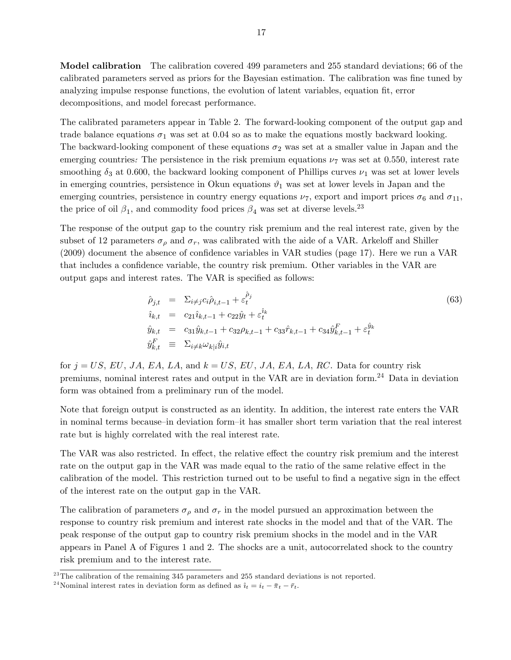Model calibration The calibration covered 499 parameters and 255 standard deviations; 66 of the calibrated parameters served as priors for the Bayesian estimation. The calibration was fine tuned by analyzing impulse response functions, the evolution of latent variables, equation fit, error decompositions, and model forecast performance.

The calibrated parameters appear in Table 2. The forward-looking component of the output gap and trade balance equations  $\sigma_1$  was set at 0.04 so as to make the equations mostly backward looking. The backward-looking component of these equations  $\sigma_2$  was set at a smaller value in Japan and the emerging countries. The persistence in the risk premium equations  $\nu_7$  was set at 0.550, interest rate smoothing  $\delta_3$  at 0.600, the backward looking component of Phillips curves  $\nu_1$  was set at lower levels in emerging countries, persistence in Okun equations  $\vartheta_1$  was set at lower levels in Japan and the emerging countries, persistence in country energy equations  $\nu_7$ , export and import prices  $\sigma_6$  and  $\sigma_{11}$ , the price of oil  $\beta_1$ , and commodity food prices  $\beta_4$  was set at diverse levels.<sup>23</sup>

The response of the output gap to the country risk premium and the real interest rate, given by the subset of 12 parameters  $\sigma_{\rho}$  and  $\sigma_{r}$ , was calibrated with the aide of a VAR. Arkeloff and Shiller  $(2009)$  document the absence of confidence variables in VAR studies (page 17). Here we run a VAR that includes a confidence variable, the country risk premium. Other variables in the VAR are output gaps and interest rates. The VAR is specified as follows:

$$
\begin{aligned}\n\hat{\rho}_{j,t} &= \Sigma_{i \neq j} c_i \hat{\rho}_{i,t-1} + \varepsilon_t^{\hat{\rho}_j} \\
\hat{i}_{k,t} &= c_{21} \hat{i}_{k,t-1} + c_{22} \hat{y}_t + \varepsilon_t^{\hat{i}_k} \\
\hat{y}_{k,t} &= c_{31} \hat{y}_{k,t-1} + c_{32} \rho_{k,t-1} + c_{33} \hat{r}_{k,t-1} + c_{34} \hat{y}_{k,t-1}^F + \varepsilon_t^{\hat{y}_k} \\
\hat{y}_{k,t}^F &= \Sigma_{i \neq k} \omega_{k|i} \hat{y}_{i,t}\n\end{aligned} \n(63)
$$

for  $j = US$ , EU, JA, EA, LA, and  $k = US$ , EU, JA, EA, LA, RC. Data for country risk premiums, nominal interest rates and output in the VAR are in deviation form.<sup>24</sup> Data in deviation form was obtained from a preliminary run of the model.

Note that foreign output is constructed as an identity. In addition, the interest rate enters the VAR in nominal terms because in deviation form-it has smaller short term variation that the real interest rate but is highly correlated with the real interest rate.

The VAR was also restricted. In effect, the relative effect the country risk premium and the interest rate on the output gap in the VAR was made equal to the ratio of the same relative effect in the calibration of the model. This restriction turned out to be useful to find a negative sign in the effect of the interest rate on the output gap in the VAR.

The calibration of parameters  $\sigma_{\rho}$  and  $\sigma_{r}$  in the model pursued an approximation between the response to country risk premium and interest rate shocks in the model and that of the VAR. The peak response of the output gap to country risk premium shocks in the model and in the VAR appears in Panel A of Figures 1 and 2. The shocks are a unit, autocorrelated shock to the country risk premium and to the interest rate.

 $^{23}$ The calibration of the remaining 345 parameters and 255 standard deviations is not reported.

<sup>&</sup>lt;sup>24</sup>Nominal interest rates in deviation form as defined as  $\hat{i}_t = i_t - \bar{\pi}_t - \bar{r}_t$ .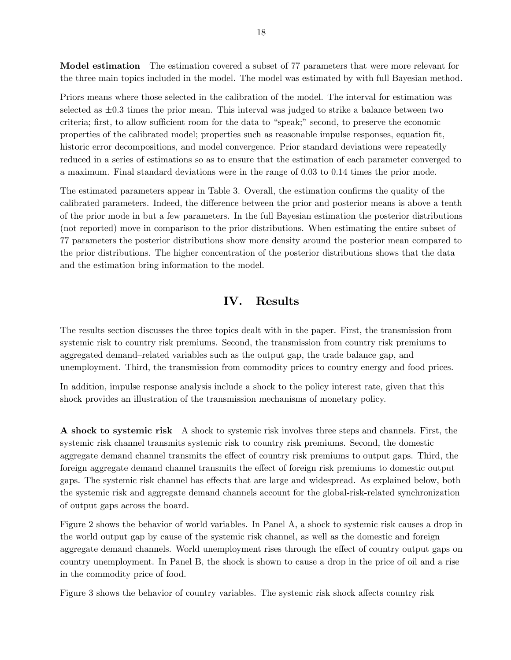Model estimation The estimation covered a subset of 77 parameters that were more relevant for the three main topics included in the model. The model was estimated by with full Bayesian method.

Priors means where those selected in the calibration of the model. The interval for estimation was selected as  $\pm 0.3$  times the prior mean. This interval was judged to strike a balance between two criteria; first, to allow sufficient room for the data to "speak;" second, to preserve the economic properties of the calibrated model; properties such as reasonable impulse responses, equation Öt, historic error decompositions, and model convergence. Prior standard deviations were repeatedly reduced in a series of estimations so as to ensure that the estimation of each parameter converged to a maximum. Final standard deviations were in the range of 0.03 to 0.14 times the prior mode.

The estimated parameters appear in Table 3. Overall, the estimation confirms the quality of the calibrated parameters. Indeed, the difference between the prior and posterior means is above a tenth of the prior mode in but a few parameters. In the full Bayesian estimation the posterior distributions (not reported) move in comparison to the prior distributions. When estimating the entire subset of 77 parameters the posterior distributions show more density around the posterior mean compared to the prior distributions. The higher concentration of the posterior distributions shows that the data and the estimation bring information to the model.

# IV. Results

The results section discusses the three topics dealt with in the paper. First, the transmission from systemic risk to country risk premiums. Second, the transmission from country risk premiums to aggregated demand-related variables such as the output gap, the trade balance gap, and unemployment. Third, the transmission from commodity prices to country energy and food prices.

In addition, impulse response analysis include a shock to the policy interest rate, given that this shock provides an illustration of the transmission mechanisms of monetary policy.

A shock to systemic risk A shock to systemic risk involves three steps and channels. First, the systemic risk channel transmits systemic risk to country risk premiums. Second, the domestic aggregate demand channel transmits the effect of country risk premiums to output gaps. Third, the foreign aggregate demand channel transmits the effect of foreign risk premiums to domestic output gaps. The systemic risk channel has effects that are large and widespread. As explained below, both the systemic risk and aggregate demand channels account for the global-risk-related synchronization of output gaps across the board.

Figure 2 shows the behavior of world variables. In Panel A, a shock to systemic risk causes a drop in the world output gap by cause of the systemic risk channel, as well as the domestic and foreign aggregate demand channels. World unemployment rises through the effect of country output gaps on country unemployment. In Panel B, the shock is shown to cause a drop in the price of oil and a rise in the commodity price of food.

Figure 3 shows the behavior of country variables. The systemic risk shock affects country risk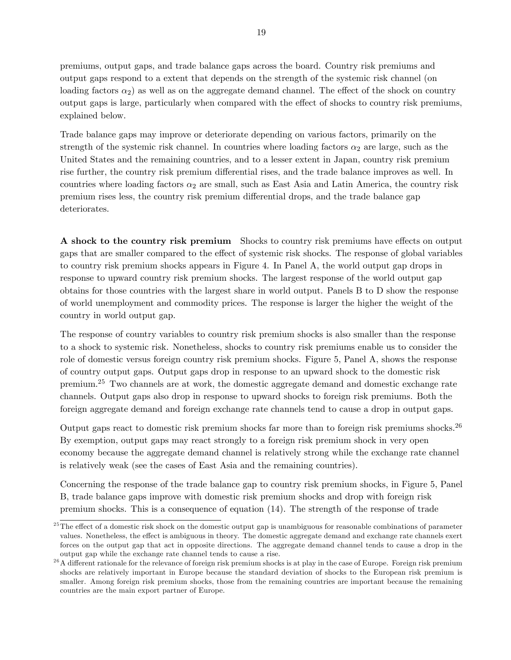premiums, output gaps, and trade balance gaps across the board. Country risk premiums and output gaps respond to a extent that depends on the strength of the systemic risk channel (on loading factors  $\alpha_2$ ) as well as on the aggregate demand channel. The effect of the shock on country output gaps is large, particularly when compared with the effect of shocks to country risk premiums, explained below.

Trade balance gaps may improve or deteriorate depending on various factors, primarily on the strength of the systemic risk channel. In countries where loading factors  $\alpha_2$  are large, such as the United States and the remaining countries, and to a lesser extent in Japan, country risk premium rise further, the country risk premium differential rises, and the trade balance improves as well. In countries where loading factors  $\alpha_2$  are small, such as East Asia and Latin America, the country risk premium rises less, the country risk premium differential drops, and the trade balance gap deteriorates.

A shock to the country risk premium Shocks to country risk premiums have effects on output gaps that are smaller compared to the effect of systemic risk shocks. The response of global variables to country risk premium shocks appears in Figure 4. In Panel A, the world output gap drops in response to upward country risk premium shocks. The largest response of the world output gap obtains for those countries with the largest share in world output. Panels B to D show the response of world unemployment and commodity prices. The response is larger the higher the weight of the country in world output gap.

The response of country variables to country risk premium shocks is also smaller than the response to a shock to systemic risk. Nonetheless, shocks to country risk premiums enable us to consider the role of domestic versus foreign country risk premium shocks. Figure 5, Panel A, shows the response of country output gaps. Output gaps drop in response to an upward shock to the domestic risk premium.<sup>25</sup> Two channels are at work, the domestic aggregate demand and domestic exchange rate channels. Output gaps also drop in response to upward shocks to foreign risk premiums. Both the foreign aggregate demand and foreign exchange rate channels tend to cause a drop in output gaps.

Output gaps react to domestic risk premium shocks far more than to foreign risk premiums shocks.<sup>26</sup> By exemption, output gaps may react strongly to a foreign risk premium shock in very open economy because the aggregate demand channel is relatively strong while the exchange rate channel is relatively weak (see the cases of East Asia and the remaining countries).

Concerning the response of the trade balance gap to country risk premium shocks, in Figure 5, Panel B, trade balance gaps improve with domestic risk premium shocks and drop with foreign risk premium shocks. This is a consequence of equation (14). The strength of the response of trade

 $25$ The effect of a domestic risk shock on the domestic output gap is unambiguous for reasonable combinations of parameter values. Nonetheless, the effect is ambiguous in theory. The domestic aggregate demand and exchange rate channels exert forces on the output gap that act in opposite directions. The aggregate demand channel tends to cause a drop in the output gap while the exchange rate channel tends to cause a rise.

 $^{26}$ A different rationale for the relevance of foreign risk premium shocks is at play in the case of Europe. Foreign risk premium shocks are relatively important in Europe because the standard deviation of shocks to the European risk premium is smaller. Among foreign risk premium shocks, those from the remaining countries are important because the remaining countries are the main export partner of Europe.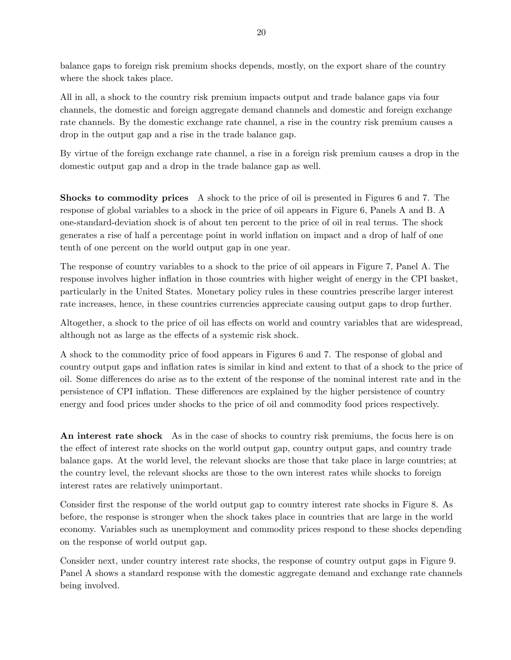balance gaps to foreign risk premium shocks depends, mostly, on the export share of the country where the shock takes place.

All in all, a shock to the country risk premium impacts output and trade balance gaps via four channels, the domestic and foreign aggregate demand channels and domestic and foreign exchange rate channels. By the domestic exchange rate channel, a rise in the country risk premium causes a drop in the output gap and a rise in the trade balance gap.

By virtue of the foreign exchange rate channel, a rise in a foreign risk premium causes a drop in the domestic output gap and a drop in the trade balance gap as well.

Shocks to commodity prices A shock to the price of oil is presented in Figures 6 and 7. The response of global variables to a shock in the price of oil appears in Figure 6, Panels A and B. A one-standard-deviation shock is of about ten percent to the price of oil in real terms. The shock generates a rise of half a percentage point in world ináation on impact and a drop of half of one tenth of one percent on the world output gap in one year.

The response of country variables to a shock to the price of oil appears in Figure 7, Panel A. The response involves higher inflation in those countries with higher weight of energy in the CPI basket, particularly in the United States. Monetary policy rules in these countries prescribe larger interest rate increases, hence, in these countries currencies appreciate causing output gaps to drop further.

Altogether, a shock to the price of oil has effects on world and country variables that are widespread, although not as large as the effects of a systemic risk shock.

A shock to the commodity price of food appears in Figures 6 and 7. The response of global and country output gaps and ináation rates is similar in kind and extent to that of a shock to the price of oil. Some differences do arise as to the extent of the response of the nominal interest rate and in the persistence of CPI inflation. These differences are explained by the higher persistence of country energy and food prices under shocks to the price of oil and commodity food prices respectively.

An interest rate shock As in the case of shocks to country risk premiums, the focus here is on the effect of interest rate shocks on the world output gap, country output gaps, and country trade balance gaps. At the world level, the relevant shocks are those that take place in large countries; at the country level, the relevant shocks are those to the own interest rates while shocks to foreign interest rates are relatively unimportant.

Consider first the response of the world output gap to country interest rate shocks in Figure 8. As before, the response is stronger when the shock takes place in countries that are large in the world economy. Variables such as unemployment and commodity prices respond to these shocks depending on the response of world output gap.

Consider next, under country interest rate shocks, the response of country output gaps in Figure 9. Panel A shows a standard response with the domestic aggregate demand and exchange rate channels being involved.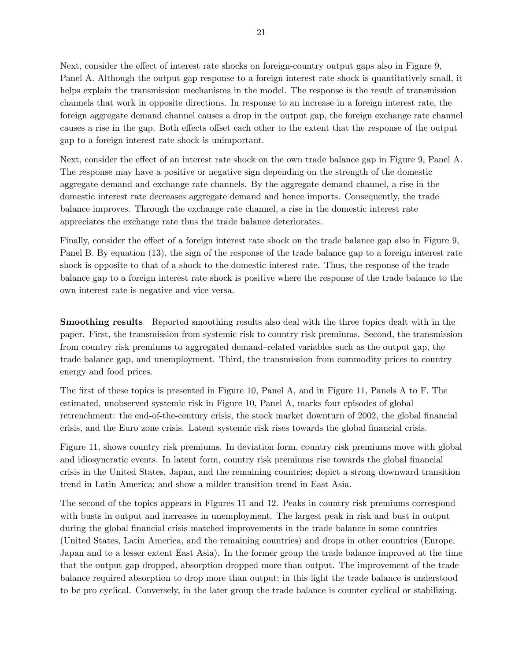Next, consider the effect of interest rate shocks on foreign-country output gaps also in Figure 9, Panel A. Although the output gap response to a foreign interest rate shock is quantitatively small, it helps explain the transmission mechanisms in the model. The response is the result of transmission channels that work in opposite directions. In response to an increase in a foreign interest rate, the foreign aggregate demand channel causes a drop in the output gap, the foreign exchange rate channel causes a rise in the gap. Both effects offset each other to the extent that the response of the output gap to a foreign interest rate shock is unimportant.

Next, consider the effect of an interest rate shock on the own trade balance gap in Figure 9, Panel A. The response may have a positive or negative sign depending on the strength of the domestic aggregate demand and exchange rate channels. By the aggregate demand channel, a rise in the domestic interest rate decreases aggregate demand and hence imports. Consequently, the trade balance improves. Through the exchange rate channel, a rise in the domestic interest rate appreciates the exchange rate thus the trade balance deteriorates.

Finally, consider the effect of a foreign interest rate shock on the trade balance gap also in Figure 9, Panel B. By equation (13), the sign of the response of the trade balance gap to a foreign interest rate shock is opposite to that of a shock to the domestic interest rate. Thus, the response of the trade balance gap to a foreign interest rate shock is positive where the response of the trade balance to the own interest rate is negative and vice versa.

Smoothing results Reported smoothing results also deal with the three topics dealt with in the paper. First, the transmission from systemic risk to country risk premiums. Second, the transmission from country risk premiums to aggregated demand-related variables such as the output gap, the trade balance gap, and unemployment. Third, the transmission from commodity prices to country energy and food prices.

The first of these topics is presented in Figure 10, Panel A, and in Figure 11, Panels A to F. The estimated, unobserved systemic risk in Figure 10, Panel A, marks four episodes of global retrenchment: the end-of-the-century crisis, the stock market downturn of 2002, the global financial crisis, and the Euro zone crisis. Latent systemic risk rises towards the global financial crisis.

Figure 11, shows country risk premiums. In deviation form, country risk premiums move with global and idiosyncratic events. In latent form, country risk premiums rise towards the global financial crisis in the United States, Japan, and the remaining countries; depict a strong downward transition trend in Latin America; and show a milder transition trend in East Asia.

The second of the topics appears in Figures 11 and 12. Peaks in country risk premiums correspond with busts in output and increases in unemployment. The largest peak in risk and bust in output during the global financial crisis matched improvements in the trade balance in some countries (United States, Latin America, and the remaining countries) and drops in other countries (Europe, Japan and to a lesser extent East Asia). In the former group the trade balance improved at the time that the output gap dropped, absorption dropped more than output. The improvement of the trade balance required absorption to drop more than output; in this light the trade balance is understood to be pro cyclical. Conversely, in the later group the trade balance is counter cyclical or stabilizing.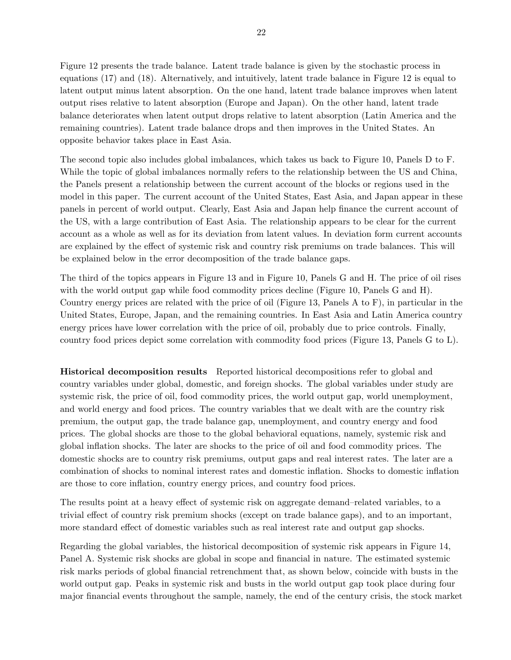Figure 12 presents the trade balance. Latent trade balance is given by the stochastic process in equations (17) and (18). Alternatively, and intuitively, latent trade balance in Figure 12 is equal to latent output minus latent absorption. On the one hand, latent trade balance improves when latent output rises relative to latent absorption (Europe and Japan). On the other hand, latent trade balance deteriorates when latent output drops relative to latent absorption (Latin America and the remaining countries). Latent trade balance drops and then improves in the United States. An opposite behavior takes place in East Asia.

The second topic also includes global imbalances, which takes us back to Figure 10, Panels D to F. While the topic of global imbalances normally refers to the relationship between the US and China, the Panels present a relationship between the current account of the blocks or regions used in the model in this paper. The current account of the United States, East Asia, and Japan appear in these panels in percent of world output. Clearly, East Asia and Japan help finance the current account of the US, with a large contribution of East Asia. The relationship appears to be clear for the current account as a whole as well as for its deviation from latent values. In deviation form current accounts are explained by the effect of systemic risk and country risk premiums on trade balances. This will be explained below in the error decomposition of the trade balance gaps.

The third of the topics appears in Figure 13 and in Figure 10, Panels G and H. The price of oil rises with the world output gap while food commodity prices decline (Figure 10, Panels G and H). Country energy prices are related with the price of oil (Figure 13, Panels A to F), in particular in the United States, Europe, Japan, and the remaining countries. In East Asia and Latin America country energy prices have lower correlation with the price of oil, probably due to price controls. Finally, country food prices depict some correlation with commodity food prices (Figure 13, Panels G to L).

Historical decomposition results Reported historical decompositions refer to global and country variables under global, domestic, and foreign shocks. The global variables under study are systemic risk, the price of oil, food commodity prices, the world output gap, world unemployment, and world energy and food prices. The country variables that we dealt with are the country risk premium, the output gap, the trade balance gap, unemployment, and country energy and food prices. The global shocks are those to the global behavioral equations, namely, systemic risk and global inflation shocks. The later are shocks to the price of oil and food commodity prices. The domestic shocks are to country risk premiums, output gaps and real interest rates. The later are a combination of shocks to nominal interest rates and domestic inflation. Shocks to domestic inflation are those to core inflation, country energy prices, and country food prices.

The results point at a heavy effect of systemic risk on aggregate demand–related variables, to a trivial effect of country risk premium shocks (except on trade balance gaps), and to an important, more standard effect of domestic variables such as real interest rate and output gap shocks.

Regarding the global variables, the historical decomposition of systemic risk appears in Figure 14, Panel A. Systemic risk shocks are global in scope and financial in nature. The estimated systemic risk marks periods of global financial retrenchment that, as shown below, coincide with busts in the world output gap. Peaks in systemic risk and busts in the world output gap took place during four major Önancial events throughout the sample, namely, the end of the century crisis, the stock market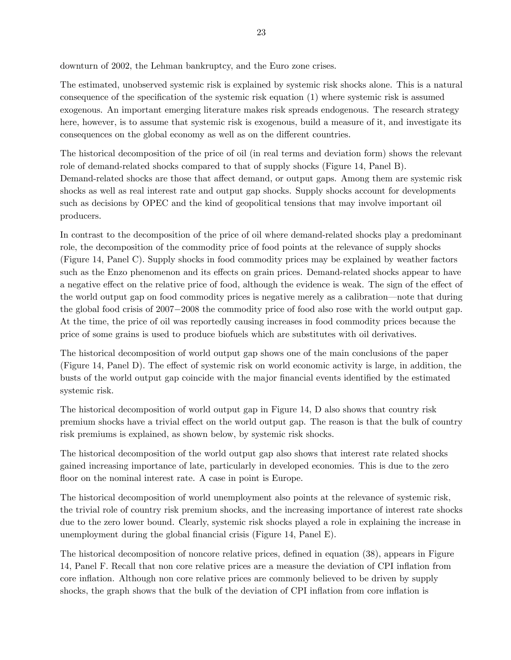downturn of 2002, the Lehman bankruptcy, and the Euro zone crises.

The estimated, unobserved systemic risk is explained by systemic risk shocks alone. This is a natural consequence of the specification of the systemic risk equation  $(1)$  where systemic risk is assumed exogenous. An important emerging literature makes risk spreads endogenous. The research strategy here, however, is to assume that systemic risk is exogenous, build a measure of it, and investigate its consequences on the global economy as well as on the different countries.

The historical decomposition of the price of oil (in real terms and deviation form) shows the relevant role of demand-related shocks compared to that of supply shocks (Figure 14, Panel B). Demand-related shocks are those that affect demand, or output gaps. Among them are systemic risk shocks as well as real interest rate and output gap shocks. Supply shocks account for developments such as decisions by OPEC and the kind of geopolitical tensions that may involve important oil producers.

In contrast to the decomposition of the price of oil where demand-related shocks play a predominant role, the decomposition of the commodity price of food points at the relevance of supply shocks (Figure 14, Panel C). Supply shocks in food commodity prices may be explained by weather factors such as the Enzo phenomenon and its effects on grain prices. Demand-related shocks appear to have a negative effect on the relative price of food, although the evidence is weak. The sign of the effect of the world output gap on food commodity prices is negative merely as a calibration—note that during the global food crisis of  $2007-2008$  the commodity price of food also rose with the world output gap. At the time, the price of oil was reportedly causing increases in food commodity prices because the price of some grains is used to produce biofuels which are substitutes with oil derivatives.

The historical decomposition of world output gap shows one of the main conclusions of the paper (Figure 14, Panel D). The effect of systemic risk on world economic activity is large, in addition, the busts of the world output gap coincide with the major financial events identified by the estimated systemic risk.

The historical decomposition of world output gap in Figure 14, D also shows that country risk premium shocks have a trivial effect on the world output gap. The reason is that the bulk of country risk premiums is explained, as shown below, by systemic risk shocks.

The historical decomposition of the world output gap also shows that interest rate related shocks gained increasing importance of late, particularly in developed economies. This is due to the zero floor on the nominal interest rate. A case in point is Europe.

The historical decomposition of world unemployment also points at the relevance of systemic risk, the trivial role of country risk premium shocks, and the increasing importance of interest rate shocks due to the zero lower bound. Clearly, systemic risk shocks played a role in explaining the increase in unemployment during the global financial crisis (Figure 14, Panel E).

The historical decomposition of noncore relative prices, defined in equation (38), appears in Figure 14, Panel F. Recall that non core relative prices are a measure the deviation of CPI ináation from core inflation. Although non core relative prices are commonly believed to be driven by supply shocks, the graph shows that the bulk of the deviation of CPI inflation from core inflation is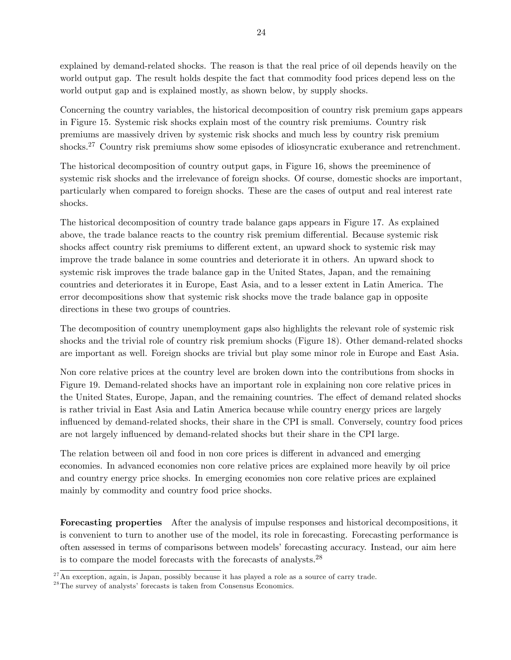explained by demand-related shocks. The reason is that the real price of oil depends heavily on the world output gap. The result holds despite the fact that commodity food prices depend less on the world output gap and is explained mostly, as shown below, by supply shocks.

Concerning the country variables, the historical decomposition of country risk premium gaps appears in Figure 15. Systemic risk shocks explain most of the country risk premiums. Country risk premiums are massively driven by systemic risk shocks and much less by country risk premium shocks.<sup>27</sup> Country risk premiums show some episodes of idiosyncratic exuberance and retrenchment.

The historical decomposition of country output gaps, in Figure 16, shows the preeminence of systemic risk shocks and the irrelevance of foreign shocks. Of course, domestic shocks are important, particularly when compared to foreign shocks. These are the cases of output and real interest rate shocks.

The historical decomposition of country trade balance gaps appears in Figure 17. As explained above, the trade balance reacts to the country risk premium differential. Because systemic risk shocks affect country risk premiums to different extent, an upward shock to systemic risk may improve the trade balance in some countries and deteriorate it in others. An upward shock to systemic risk improves the trade balance gap in the United States, Japan, and the remaining countries and deteriorates it in Europe, East Asia, and to a lesser extent in Latin America. The error decompositions show that systemic risk shocks move the trade balance gap in opposite directions in these two groups of countries.

The decomposition of country unemployment gaps also highlights the relevant role of systemic risk shocks and the trivial role of country risk premium shocks (Figure 18). Other demand-related shocks are important as well. Foreign shocks are trivial but play some minor role in Europe and East Asia.

Non core relative prices at the country level are broken down into the contributions from shocks in Figure 19. Demand-related shocks have an important role in explaining non core relative prices in the United States, Europe, Japan, and the remaining countries. The effect of demand related shocks is rather trivial in East Asia and Latin America because while country energy prices are largely influenced by demand-related shocks, their share in the CPI is small. Conversely, country food prices are not largely influenced by demand-related shocks but their share in the CPI large.

The relation between oil and food in non core prices is different in advanced and emerging economies. In advanced economies non core relative prices are explained more heavily by oil price and country energy price shocks. In emerging economies non core relative prices are explained mainly by commodity and country food price shocks.

Forecasting properties After the analysis of impulse responses and historical decompositions, it is convenient to turn to another use of the model, its role in forecasting. Forecasting performance is often assessed in terms of comparisons between models' forecasting accuracy. Instead, our aim here is to compare the model forecasts with the forecasts of analysts.<sup>28</sup>

 $27$ An exception, again, is Japan, possibly because it has played a role as a source of carry trade.

 $^{28}{\rm The}$  survey of analysts' forecasts is taken from Consensus Economics.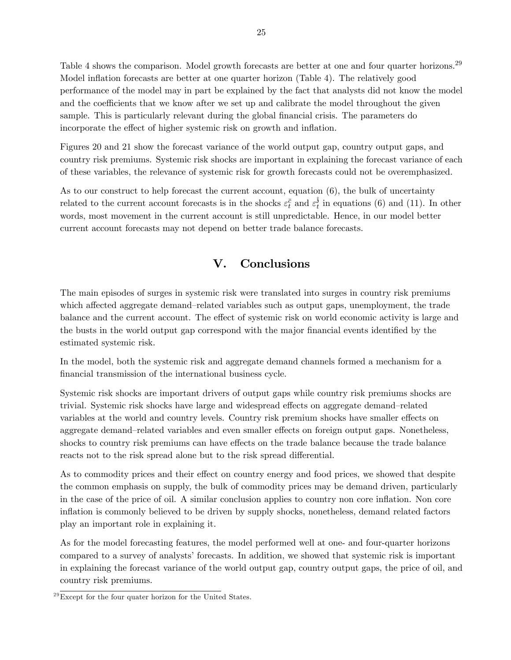Table 4 shows the comparison. Model growth forecasts are better at one and four quarter horizons.<sup>29</sup> Model inflation forecasts are better at one quarter horizon (Table 4). The relatively good performance of the model may in part be explained by the fact that analysts did not know the model and the coefficients that we know after we set up and calibrate the model throughout the given sample. This is particularly relevant during the global financial crisis. The parameters do incorporate the effect of higher systemic risk on growth and inflation.

Figures 20 and 21 show the forecast variance of the world output gap, country output gaps, and country risk premiums. Systemic risk shocks are important in explaining the forecast variance of each of these variables, the relevance of systemic risk for growth forecasts could not be overemphasized.

As to our construct to help forecast the current account, equation  $(6)$ , the bulk of uncertainty related to the current account forecasts is in the shocks  $\varepsilon_t^{\bar{c}}$  and  $\varepsilon_t^{\hat{i}}$  $t_t$  in equations (6) and (11). In other words, most movement in the current account is still unpredictable. Hence, in our model better current account forecasts may not depend on better trade balance forecasts.

# V. Conclusions

The main episodes of surges in systemic risk were translated into surges in country risk premiums which affected aggregate demand–related variables such as output gaps, unemployment, the trade balance and the current account. The effect of systemic risk on world economic activity is large and the busts in the world output gap correspond with the major financial events identified by the estimated systemic risk.

In the model, both the systemic risk and aggregate demand channels formed a mechanism for a financial transmission of the international business cycle.

Systemic risk shocks are important drivers of output gaps while country risk premiums shocks are trivial. Systemic risk shocks have large and widespread effects on aggregate demand-related variables at the world and country levels. Country risk premium shocks have smaller effects on aggregate demand–related variables and even smaller effects on foreign output gaps. Nonetheless, shocks to country risk premiums can have effects on the trade balance because the trade balance reacts not to the risk spread alone but to the risk spread differential.

As to commodity prices and their effect on country energy and food prices, we showed that despite the common emphasis on supply, the bulk of commodity prices may be demand driven, particularly in the case of the price of oil. A similar conclusion applies to country non core inflation. Non core ináation is commonly believed to be driven by supply shocks, nonetheless, demand related factors play an important role in explaining it.

As for the model forecasting features, the model performed well at one- and four-quarter horizons compared to a survey of analysts' forecasts. In addition, we showed that systemic risk is important in explaining the forecast variance of the world output gap, country output gaps, the price of oil, and country risk premiums.

 $^{29}$ Except for the four quater horizon for the United States.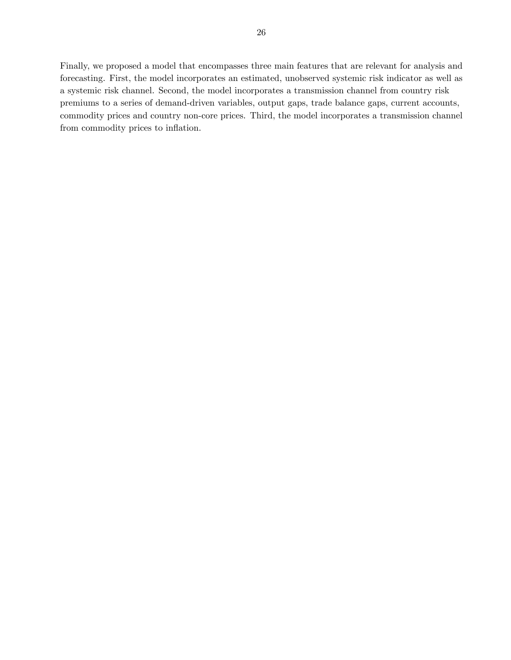Finally, we proposed a model that encompasses three main features that are relevant for analysis and forecasting. First, the model incorporates an estimated, unobserved systemic risk indicator as well as a systemic risk channel. Second, the model incorporates a transmission channel from country risk premiums to a series of demand-driven variables, output gaps, trade balance gaps, current accounts, commodity prices and country non-core prices. Third, the model incorporates a transmission channel from commodity prices to inflation.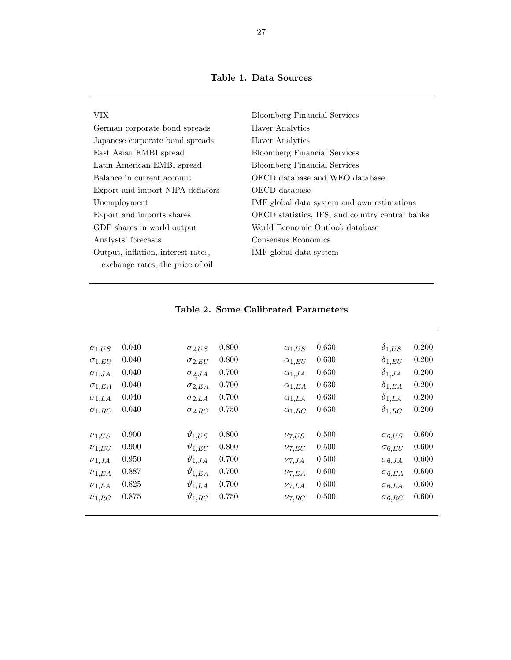| VIX.                               | <b>Bloomberg Financial Services</b>             |
|------------------------------------|-------------------------------------------------|
| German corporate bond spreads      | Haver Analytics                                 |
| Japanese corporate bond spreads    | Haver Analytics                                 |
| East Asian EMBI spread             | <b>Bloomberg Financial Services</b>             |
| Latin American EMBI spread         | <b>Bloomberg Financial Services</b>             |
| Balance in current account         | OECD database and WEO database                  |
| Export and import NIPA deflators   | OECD database                                   |
| Unemployment                       | IMF global data system and own estimations      |
| Export and imports shares          | OECD statistics, IFS, and country central banks |
| GDP shares in world output         | World Economic Outlook database                 |
| Analysts' forecasts                | Consensus Economics                             |
| Output, inflation, interest rates, | IMF global data system                          |
| exchange rates, the price of oil   |                                                 |
|                                    |                                                 |

| $\sigma_{1,US}$ | 0.040 | $\sigma_{2,US}$    | 0.800 | $\alpha_{1,US}$       | 0.630 | $\delta_{1,US}$ | 0.200 |
|-----------------|-------|--------------------|-------|-----------------------|-------|-----------------|-------|
| $\sigma_{1,EU}$ | 0.040 | $\sigma_{2,EU}$    | 0.800 | $\alpha_{1.EU}$       | 0.630 | $\delta_{1,EU}$ | 0.200 |
| $\sigma_{1,JA}$ | 0.040 | $\sigma_{2,JA}$    | 0.700 | $\alpha_{1,JA}$       | 0.630 | $\delta_{1,JA}$ | 0.200 |
| $\sigma_{1,EA}$ | 0.040 | $\sigma_{2,EA}$    | 0.700 | $\alpha_{1,EA}$       | 0.630 | $\delta_{1,EA}$ | 0.200 |
| $\sigma_{1,LA}$ | 0.040 | $\sigma_{2,LA}$    | 0.700 | $\alpha_{1,LA}$       | 0.630 | $\delta_{1,LA}$ | 0.200 |
| $\sigma_{1,RC}$ | 0.040 | $\sigma_{2,RC}$    | 0.750 | $\alpha_{1,RC}$       | 0.630 | $\delta_{1,RC}$ | 0.200 |
|                 |       |                    |       |                       |       |                 |       |
| $\nu_{1,US}$    | 0.900 | $\vartheta_{1,US}$ | 0.800 | $\nu_{7,US}$          | 0.500 | $\sigma_{6,US}$ | 0.600 |
| $\nu_{1.EU}$    | 0.900 | $\vartheta_{1,EU}$ | 0.800 | $\nu_{7,EU}$          | 0.500 | $\sigma_{6.EU}$ | 0.600 |
| $\nu_{1,JA}$    | 0.950 | $\vartheta_{1,JA}$ | 0.700 | $\nu_{7,JA}$          | 0.500 | $\sigma_{6,JA}$ | 0.600 |
| $\nu_{1,EA}$    | 0.887 | $\vartheta_{1,EA}$ | 0.700 | $\nu$ <sub>7.EA</sub> | 0.600 | $\sigma_{6,EA}$ | 0.600 |
| $\nu_{1,LA}$    | 0.825 | $\vartheta_{1,LA}$ | 0.700 | $\nu_{7,LA}$          | 0.600 | $\sigma_{6,LA}$ | 0.600 |
| $\nu_{1,RC}$    | 0.875 | $\vartheta_{1,RC}$ | 0.750 | $\nu_{7,RC}$          | 0.500 | $\sigma_{6,RC}$ | 0.600 |

# Table 2. Some Calibrated Parameters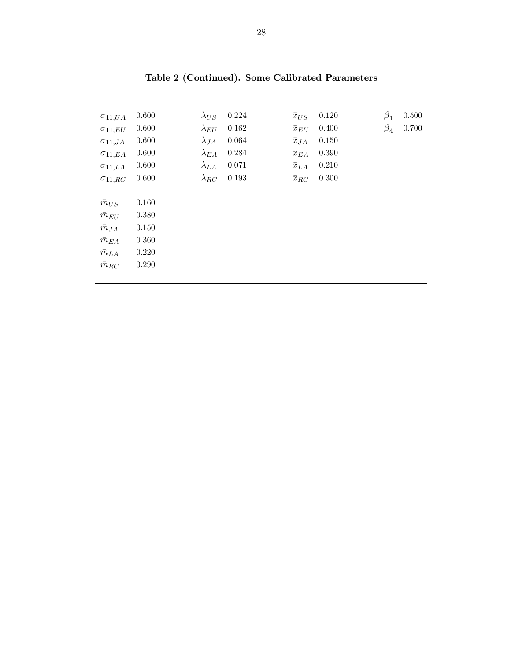| $\sigma_{11,UA}$ | 0.600 | $\lambda_{US}$ | 0.224 | $\bar{x}_{US}$ | 0.120 | $\beta_1$ | 0.500 |
|------------------|-------|----------------|-------|----------------|-------|-----------|-------|
| $\sigma_{11,EU}$ | 0.600 | $\lambda_{EU}$ | 0.162 | $\bar{x}_{EU}$ | 0.400 | $\beta_4$ | 0.700 |
| $\sigma_{11,JA}$ | 0.600 | $\lambda_{JA}$ | 0.064 | $\bar{x}_{JA}$ | 0.150 |           |       |
| $\sigma_{11,EA}$ | 0.600 | $\lambda_{EA}$ | 0.284 | $\bar{x}_{EA}$ | 0.390 |           |       |
| $\sigma_{11,LA}$ | 0.600 | $\lambda_{LA}$ | 0.071 | $\bar{x}_{LA}$ | 0.210 |           |       |
| $\sigma_{11,RC}$ | 0.600 | $\lambda_{RC}$ | 0.193 | $\bar{x}_{RC}$ | 0.300 |           |       |
|                  |       |                |       |                |       |           |       |
| $\bar{m}_{US}$   | 0.160 |                |       |                |       |           |       |
| $\bar{m}_{EU}$   | 0.380 |                |       |                |       |           |       |
| $\bar{m}_{JA}$   | 0.150 |                |       |                |       |           |       |
| $\bar{m}_{EA}$   | 0.360 |                |       |                |       |           |       |
| $\bar{m}_{LA}$   | 0.220 |                |       |                |       |           |       |
| $\bar{m}_{RC}$   | 0.290 |                |       |                |       |           |       |
|                  |       |                |       |                |       |           |       |

Table 2 (Continued). Some Calibrated Parameters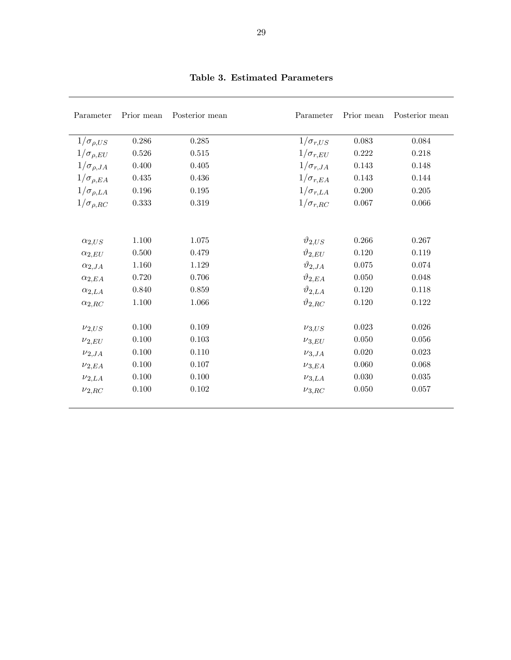| Parameter            | Prior mean | Posterior mean | Parameter          | Prior mean  | Posterior mean |
|----------------------|------------|----------------|--------------------|-------------|----------------|
| $1/\sigma_{\rho,US}$ | 0.286      | 0.285          | $1/\sigma_{r,US}$  | 0.083       | 0.084          |
| $1/\sigma_{\rho,EU}$ | 0.526      | 0.515          | $1/\sigma_{r,EU}$  | $0.222\,$   | 0.218          |
| $1/\sigma_{\rho,JA}$ | $0.400\,$  | 0.405          | $1/\sigma_{r,JA}$  | 0.143       | 0.148          |
| $1/\sigma_{\rho,EA}$ | 0.435      | 0.436          | $1/\sigma_{r,EA}$  | $0.143\,$   | 0.144          |
| $1/\sigma_{\rho,LA}$ | 0.196      | 0.195          | $1/\sigma_{r,LA}$  | 0.200       | 0.205          |
| $1/\sigma_{\rho,RC}$ | 0.333      | 0.319          | $1/\sigma_{r,RC}$  | 0.067       | 0.066          |
|                      |            |                |                    |             |                |
| $\alpha_{2,US}$      | 1.100      | 1.075          | $\vartheta_{2,US}$ | 0.266       | 0.267          |
| $\alpha_{2,EU}$      | 0.500      | 0.479          | $\vartheta_{2,EU}$ | 0.120       | 0.119          |
| $\alpha_{2,JA}$      | 1.160      | 1.129          | $\vartheta_{2,JA}$ | 0.075       | 0.074          |
| $\alpha_{2,EA}$      | 0.720      | 0.706          | $\vartheta_{2,EA}$ | 0.050       | 0.048          |
| $\alpha_{2,LA}$      | 0.840      | 0.859          | $\vartheta_{2,LA}$ | 0.120       | 0.118          |
| $\alpha_{2,RC}$      | 1.100      | 1.066          | $\vartheta_{2,RC}$ | 0.120       | 0.122          |
| $\nu_{2,US}$         | 0.100      | 0.109          | $\nu_{3,US}$       | $\,0.023\,$ | 0.026          |
| $\nu_{2,EU}$         | 0.100      | 0.103          | $\nu_{3,EU}$       | 0.050       | 0.056          |
| $\nu_{2,JA}$         | 0.100      | 0.110          | $\nu_{3,JA}$       | 0.020       | 0.023          |
| $\nu_{2,EA}$         | 0.100      | 0.107          | $\nu_{3,EA}$       | 0.060       | 0.068          |
| $\nu_{2,LA}$         | 0.100      | 0.100          | $\nu_{3,LA}$       | $0.030\,$   | 0.035          |
| $\nu_{2,RC}$         | 0.100      | $0.102\,$      | $\nu_{3,RC}$       | 0.050       | 0.057          |

# Table 3. Estimated Parameters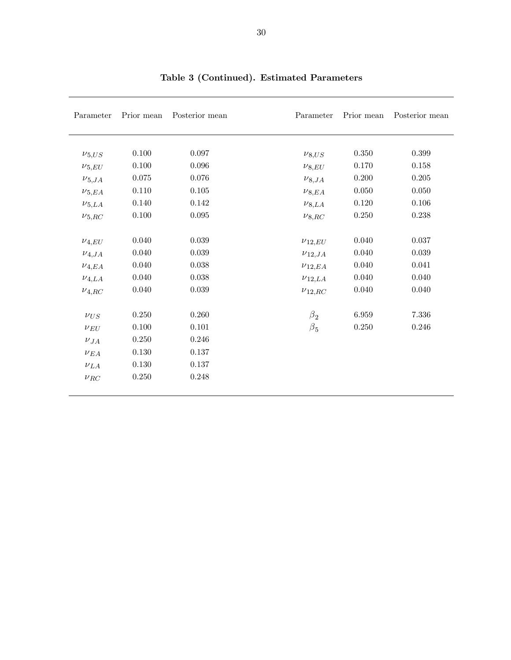| Parameter    | Prior mean | Posterior mean | Parameter     | Prior mean | Posterior mean |
|--------------|------------|----------------|---------------|------------|----------------|
|              |            |                |               |            |                |
| $\nu_{5,US}$ | 0.100      | 0.097          | $\nu_{8,US}$  | 0.350      | 0.399          |
| $\nu_{5,EU}$ | 0.100      | 0.096          | $\nu_{8,EU}$  | 0.170      | $0.158\,$      |
| $\nu_{5,JA}$ | $0.075\,$  | 0.076          | $\nu_{8,JA}$  | $0.200\,$  | 0.205          |
| $\nu_{5,EA}$ | 0.110      | $0.105\,$      | $\nu_{8,EA}$  | $0.050\,$  | 0.050          |
| $\nu_{5,LA}$ | $0.140\,$  | 0.142          | $\nu_{8,LA}$  | 0.120      | $0.106\,$      |
| $\nu_{5,RC}$ | 0.100      | $\,0.095\,$    | $\nu_{8,RC}$  | $0.250\,$  | 0.238          |
| $\nu_{4,EU}$ | 0.040      | $\,0.039\,$    | $\nu_{12,EU}$ | 0.040      | $0.037\,$      |
| $\nu_{4,JA}$ | 0.040      | 0.039          | $\nu_{12,JA}$ | 0.040      | 0.039          |
| $\nu_{4,EA}$ | 0.040      | 0.038          | $\nu_{12,EA}$ | $0.040\,$  | 0.041          |
| $\nu_{4,LA}$ | 0.040      | $0.038\,$      | $\nu_{12,LA}$ | 0.040      | 0.040          |
| $\nu_{4,RC}$ | 0.040      | 0.039          | $\nu_{12,RC}$ | 0.040      | 0.040          |
| $\nu_{US}$   | 0.250      | 0.260          | $\beta_2$     | 6.959      | $7.336\,$      |
| $\nu_{EU}$   | 0.100      | 0.101          | $\beta_5$     | $0.250\,$  | 0.246          |
| $\nu_{JA}$   | $0.250\,$  | $0.246\,$      |               |            |                |
| $\nu_{EA}$   | $0.130\,$  | 0.137          |               |            |                |
| $\nu_{LA}$   | $0.130\,$  | 0.137          |               |            |                |
| $\nu_{RC}$   | $0.250\,$  | 0.248          |               |            |                |

# Table 3 (Continued). Estimated Parameters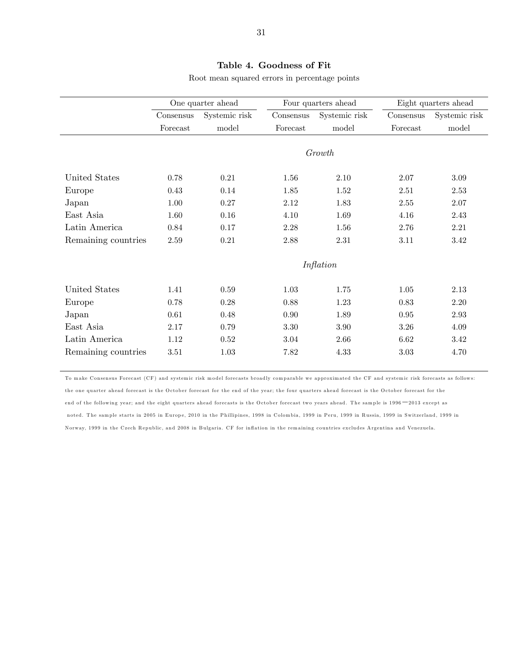# Table 4. Goodness of Fit

Root mean squared errors in percentage points

|                     |           | One quarter ahead |           | Four quarters ahead |            | Eight quarters ahead |
|---------------------|-----------|-------------------|-----------|---------------------|------------|----------------------|
|                     | Consensus | Systemic risk     | Consensus | Systemic risk       | Consensus  | Systemic risk        |
|                     | Forecast  | model             | Forecast  | model               | Forecast   | model                |
|                     |           |                   |           | Growth              |            |                      |
| United States       | 0.78      | $0.21\,$          | 1.56      | 2.10                | 2.07       | 3.09                 |
| Europe              | 0.43      | 0.14              | 1.85      | 1.52                | 2.51       | 2.53                 |
| Japan               | 1.00      | 0.27              | 2.12      | 1.83                | 2.55       | 2.07                 |
| East Asia           | 1.60      | 0.16              | 4.10      | 1.69                | 4.16       | 2.43                 |
| Latin America       | 0.84      | 0.17              | 2.28      | 1.56                | 2.76       | 2.21                 |
| Remaining countries | 2.59      | $0.21\,$          | $2.88\,$  | 2.31                | 3.11       | 3.42                 |
|                     |           |                   |           | Inflation           |            |                      |
| United States       | 1.41      | $0.59\,$          | 1.03      | 1.75                | $1.05\,$   | 2.13                 |
| Europe              | 0.78      | 0.28              | 0.88      | 1.23                | 0.83       | 2.20                 |
| Japan               | 0.61      | 0.48              | $0.90\,$  | 1.89                | $\rm 0.95$ | 2.93                 |
| East Asia           | 2.17      | 0.79              | 3.30      | 3.90                | 3.26       | 4.09                 |
| Latin America       | 1.12      | 0.52              | 3.04      | 2.66                | 6.62       | 3.42                 |
| Remaining countries | 3.51      | 1.03              | 7.82      | 4.33                | 3.03       | 4.70                 |

To make Consensus Forecast (CF) and systemic risk model forecasts broadly comparable we approximated the CF and systemic risk forecasts as follows: the one quarter ahead forecast is the October forecast for the end of the year; the four quarters ahead forecast is the October forecast for the end of the following year; and the eight quarters ahead forecasts is the October forecast two years ahead. The sample is 1996<sup>-2013</sup> except as noted. The sample starts in 2005 in Europe, 2010 in the Phillipines, 1998 in Colombia, 1999 in Peru, 1999 in Russia, 1999 in Switzerland, 1999 in Norway, 1999 in the Czech Republic, and 2008 in Bulgaria. CF for inflation in the remaining countries excludes Argentina and Venezuela.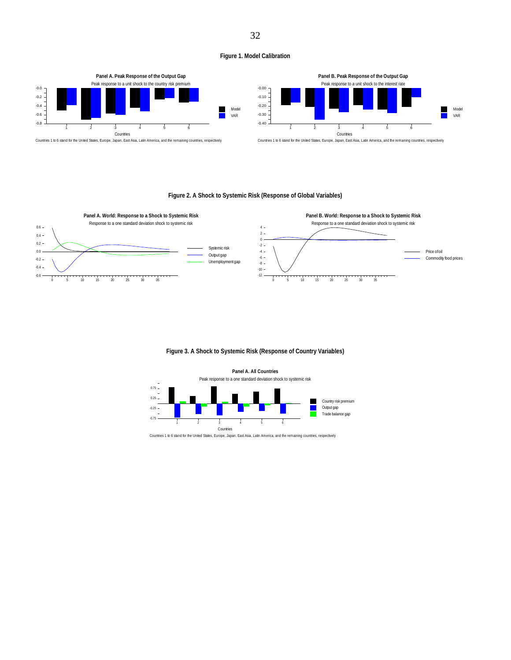#### **Figure 1. Model Calibration**



#### **Figure 2. A Shock to Systemic Risk (Response of Global Variables)**



#### **Figure 3. A Shock to Systemic Risk (Response of Country Variables)**

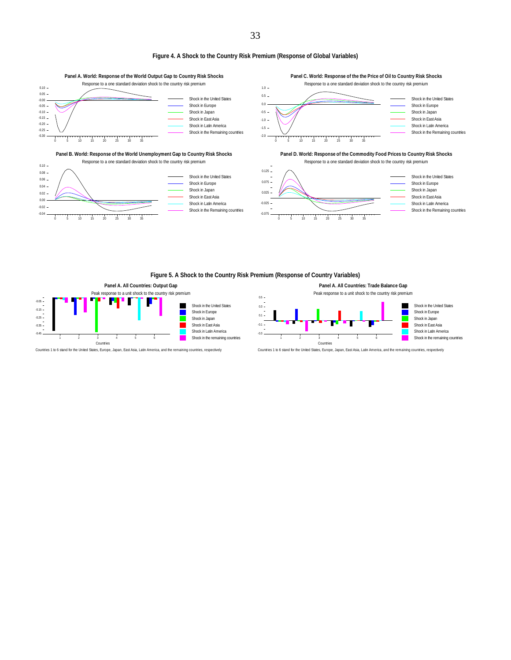#### **Figure 4. A Shock to the Country Risk Premium (Response of Global Variables)**



#### **Figure 5. A Shock to the Country Risk Premium (Response of Country Variables)**



**Panel A. All Countries: Trade Balance Gap** Peak response to a unit shock to the country risk premium

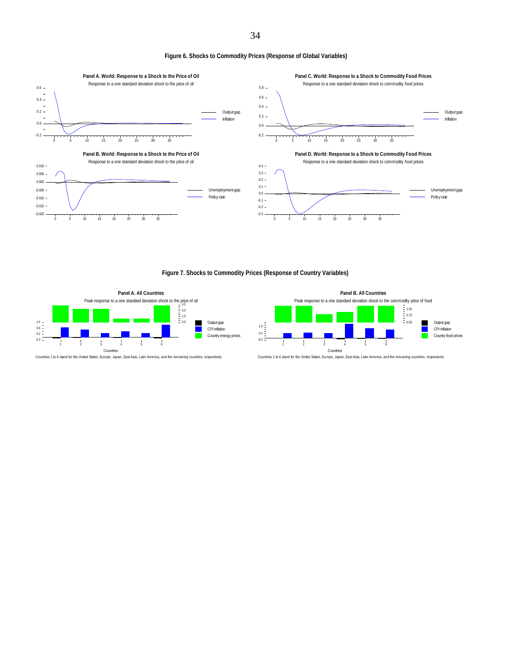**Figure 6. Shocks to Commodity Prices (Response of Global Variables)** 



**Figure 7. Shocks to Commodity Prices (Response of Country Variables)** 



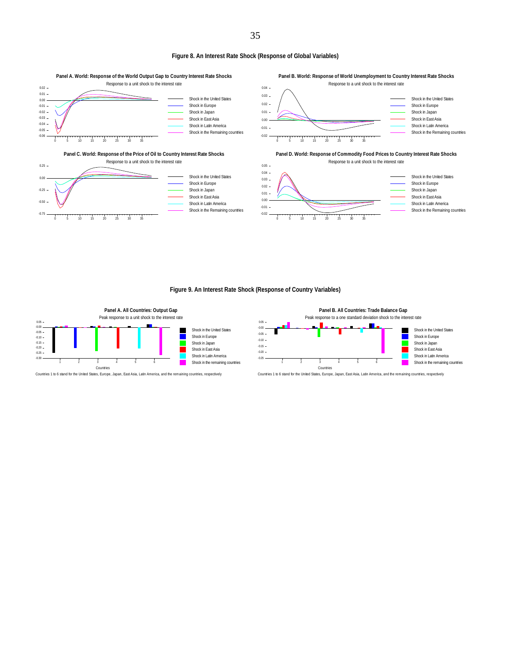#### **Figure 8. An Interest Rate Shock (Response of Global Variables)**



#### **Figure 9. An Interest Rate Shock (Response of Country Variables)**



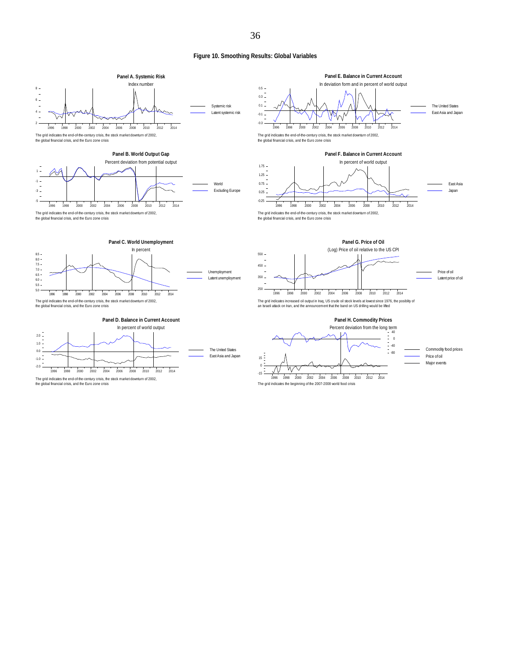#### **Figure 10. Smoothing Results: Global Variables**



The grid indicates the beginning of the 2007-2008 world food crisis

the global financial crisis, and the Euro zone crisis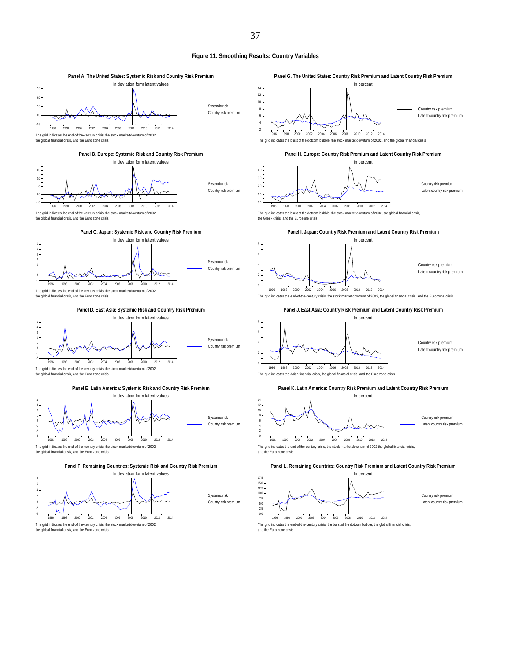#### **Figure 11. Smoothing Results: Country Variables**

8

0

6 8

**Panel A. The United States: Systemic Risk and Country Risk Premium** In deviation form latent values 7.5 5.0 Systemic risk  $2.5 -$ Country risk premium 0.0  $\overline{\vee}$ -2.5 1996 1998 2000 2002 2004 2006 2008 2010 2012 2014 The grid indicates the end-of-the-century crisis, the stock market downturn of 2002, the global financial crisis, and the Euro zone crisis the global financial crisis, and the Euro zone crisis







**Panel E. Latin America: Systemic Risk and Country Risk Premium**



the global financial crisis, and the Euro zone crisis

**Panel F. Remaining Countries: Systemic Risk and Country Risk Premium**









The grid indicates the burst of the dotcom bubble, the stock market downturn of 2002, the global financial crisis, the Greek crisis, and the Eurozone crisis







The grid indicates the end-of-the-century crisis, the stock market downturn of 2002, the global financial crisis, and the Euro zone crisis







The grid indicates the end of the century crisis, the stock market downturn of 2002, the global financial crisis,<br>and the Euro zone crisis

#### **Panel L. Remaining Countries: Country Risk Premium and Latent Country Risk Premium**



The grid indicates the end-of-the-century crisis, the burst of the dotcom bubble, the global financial crisis and the Euro zone crisis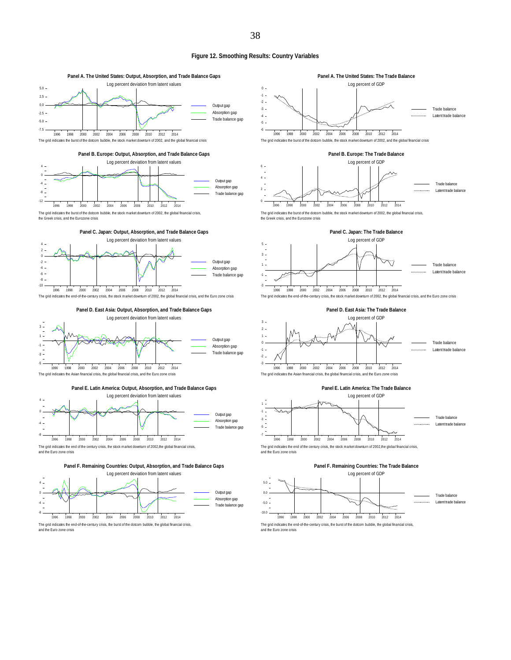#### **Figure 12. Smoothing Results: Country Variables**





The grid indicates the burst of the dotcom bubble, the stock market downturn of 2002, the global financial crisis, the Greek crisis, and the Eurozone crisis



The grid indicates the end-of-the-century crisis, the stock market downturn of 2002, the global financial crisis, and the Euro zone crisis



**Panel E. Latin America: Output, Absorption, and Trade Balance Gaps**



The grid indicates the end of the century crisis, the stock market downturn of 2002, the global financial crisis and the Euro zone crisis







The grid indicates the burst of the dotcom bubble, the stock market downturn of 2002, the global financial crisis, the Greek crisis, and the Eurozone crisis



The grid indicates the end-of-the-century crisis, the stock market downturn of 2002, the global financial crisis, and the Euro zone crisis





The grid indicates the end of the century crisis, the stock market downturn of 2002,the global financial crisis,<br>and the Euro zone crisis





The grid indicates the end-of-the-century crisis, the burst of the dotcom bubble, the global financial crisis, and the Euro zone crisis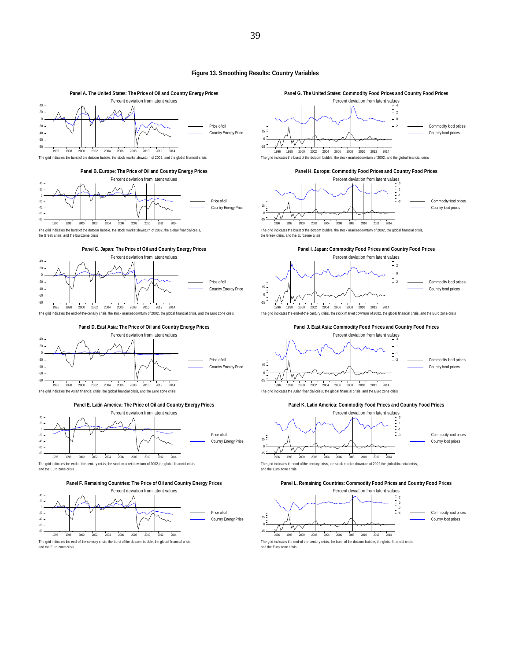#### **Figure 13. Smoothing Results: Country Variables**

39



The grid indicates the end-of-the-century crisis, the burst of the dotcom bubble, the global financial crisis,

1996 1998 2000 2002 2004 2006 2008 2010 2012 2014

Commodity food prices Country food prices

-4 -2 0 2

and the Euro zone crisis

-15 0 15



and the Euro zone crisis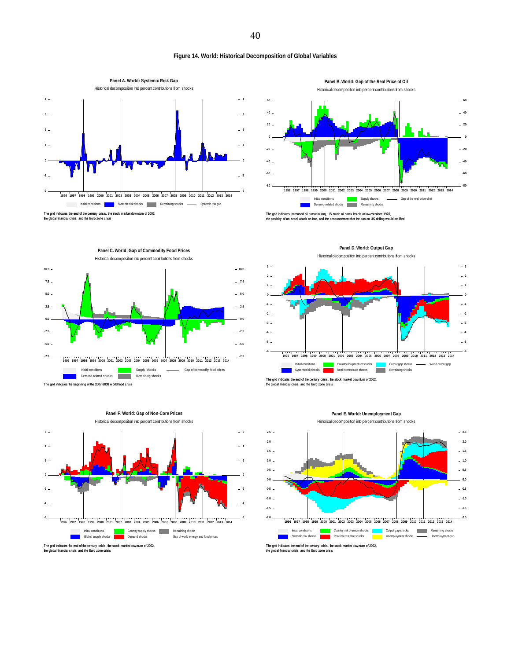## **Figure 14. World: Historical Decomposition of Global Variables**



**Panel B. World: Gap of the Real Price of Oil**



The grid indicates increased oil output in Iraq, US crude oil stock levels at lowest since 1976,<br>the posiblity of an Israeli attack on Iran, and the announcement that the ban on US drilling would be lifted









**Panel D. World: Output Gap**

the global financial crisis, and the Euro zone crisis

#### **Panel E. World: Unemployment Gap** Historical decomposition into percent contributions from shocks



the global financial crisis, and the Euro zone crisis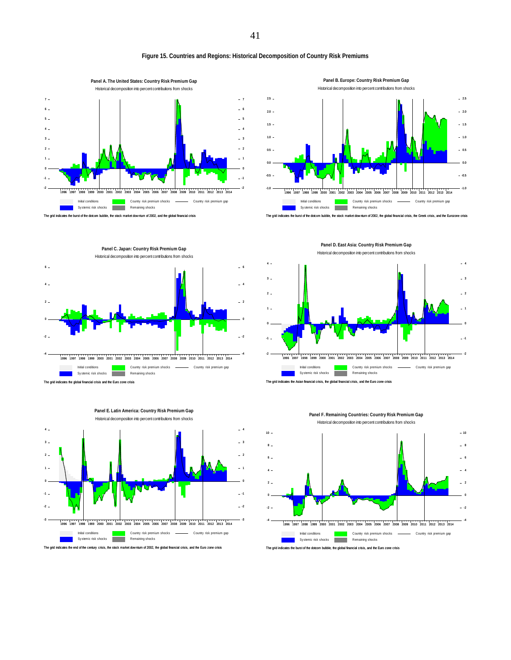#### **Figure 15. Countries and Regions: Historical Decomposition of Country Risk Premiums**





**Panel C. Japan: Country Risk Premium Gap** Historical decomposition into percent contributions from shocks The grid indicates the global financial crisis and the Euro zone crisis Initial conditions Sy stemic risk shocks Country risk premium shocks Remaining shocks Country risk premium gap 1996 1997 1998 1999 2000 2001 2002 2003 2004 2005 2006 2007 2008 2009 2010 2011 2012 2013 2014 -4  $-2 -$ 0  $\overline{2}$ 4 6 -4  $-2$ 0  $-2$  $-4$ 6





**Panel E. Latin America: Country Risk Premium Gap**

The grid indicates the end of the century crisis, the stock market dow nturn of 2002, the global financial crisis, and the Euro zone crisis

**Panel D. East Asia: Country Risk Premium Gap** Historical decomposition into percent contributions from shocks



**Panel F. Remaining Countries: Country Risk Premium Gap** Historical decomposition into percent contributions from shocks

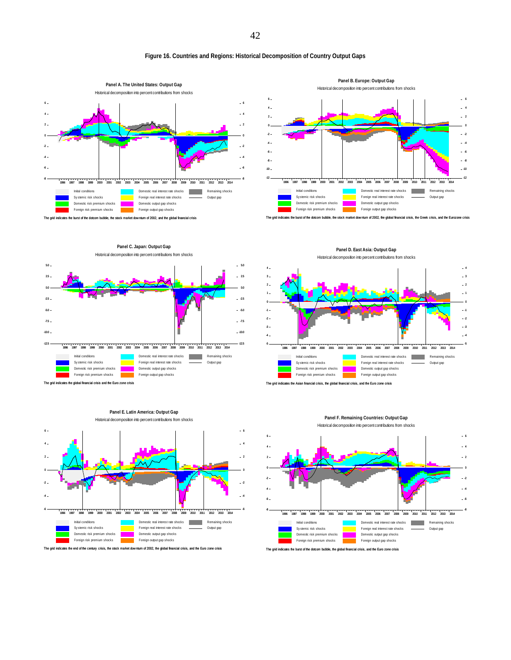#### **Figure 16. Countries and Regions: Historical Decomposition of Country Output Gaps**





The grid indicates the burst of the dotcom bubble, the stock market dow nturn of 2002, the global financial crisis, the Greek crisis, and the Eurozone crisis













**Panel F. Remaining Countries: Output Gap** Historical decomposition into percent contributions from shocks



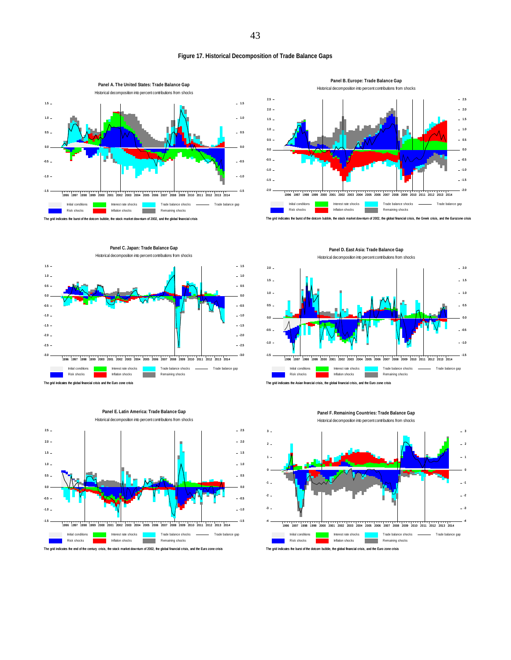#### **Figure 17. Historical Decomposition of Trade Balance Gaps**



Historical decomposition into percent contributions from shocks -1.5  $-1.0 -0.5 0.5 1.0 1.5 2.0 2.5 -$ 

**Panel B. Europe: Trade Balance Gap**

**Contract** The grid indicates the burst of the dotcom bubble, the stock market dow nturn of 2002, the global financial crisis, the Greek crisis, and the Eurozone crisis

**Panel D. East Asia: Trade Balance Gap**

1996 1997 1998 1999 2000 2001 2002 2003 2004 2005 2006 2007 2008 2009 2010 2011 2012 2013 2014

Trade balance shocks Remaining shocks

 $\overline{a}$ 

Trade balance shocks

Trade balance shocks Trade balance gap

Remaining shocks

1996 1997 1998 1999 2000 2001 2002 2003 2004 2005 2006 2007 2008 2009 2010 2011 2012 2013 2014

÷. п

- Trade balance gap

- Trade balance gap 1996 1997 1998 1999 2000 2001 2002 2003 2004 2005 2006 2007 2008 2009 2010 2011 2012 2013 2014

-1.5 -1.0  $-0.5$ 0.0  $-0.5$  $-1.0$  $-1.5$  $-2.0$ 

-4

-2.0 -1.5 -1.0  $-9.5$  $0.0$  $-0.5$  $-1.0$  $-1.5$  $-2.0$  $-2.5$ 

Interest rate shocks Inflation shocks

Initial conditions Risk shocks

Initial conditions

Initial conditions Risk shocks

-4

-2.0

-1.5  $-1.0 -0.5 -$ 0.0  $0.5 1.0 1.5 2.0 -$ 

 $0.0$ 





**Panel E. Latin America: Trade Balance Gap**

Historical decomposition into percent contributions from shocks



est rate shocks



i<br>Interest rates Inflation shocks

**Panel C. Japan: Trade Balance Gap**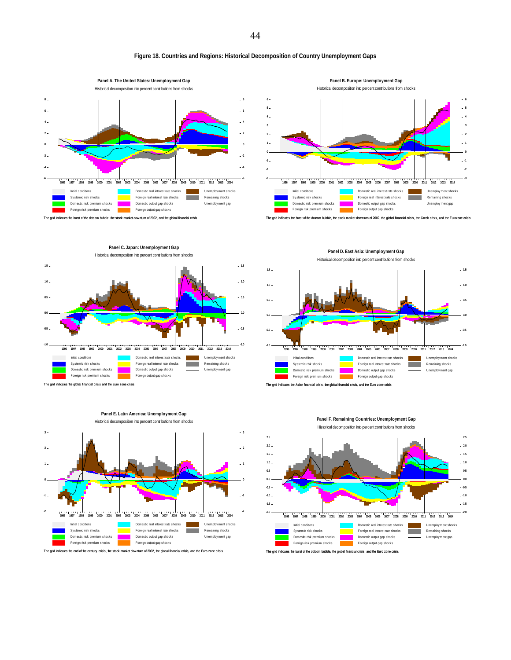#### **Figure 18. Countries and Regions: Historical Decomposition of Country Unemployment Gaps**





**Panel B. Europe: Unemployment Gap**







Historical decomposition into percent contributions from shocks  $1.5 -1.5$  $1.0 -1.0$  $0.5 -0.5$ 0.0 0.0  $-0.5 -0.5$ -1.0 -1.0 1996 1997 1998 1999 2000 2001 2002 2003 2004 2005 2006 2007 2008 2009 2010 2011 2012 2013 2014 Initial conditions Domestic real interest rate shocks Unemploy ment shocks Sy stemic risk shocks Foreign real interest rate shocks  $\sim$ Remaining shocks Domestic risk premium shocks Domestic output gap shocks Unemploy ment gap Foreign risk premium shocks Foreign output gap shocks





1996 1997 1998 1999 2000 2001 2002 2003 2004 2005 2006 2007 2008 2009 2010 2011 2012 2013 2014 Initial conditions Domestic real interest rate shocks Unemploy ment shocks Sy stemic risk shocks Foreign real interest rate shocks a an Remaining shocks Domestic risk premium shocks Domestic output gap shocks Unemploy ment gap Foreign risk premium shocks Foreign output gap shocks

The grid indicates the burst of the dotcom bubble, the global financial crisis, and the Euro zone crisis

**Panel D. East Asia: Unemployment Gap**

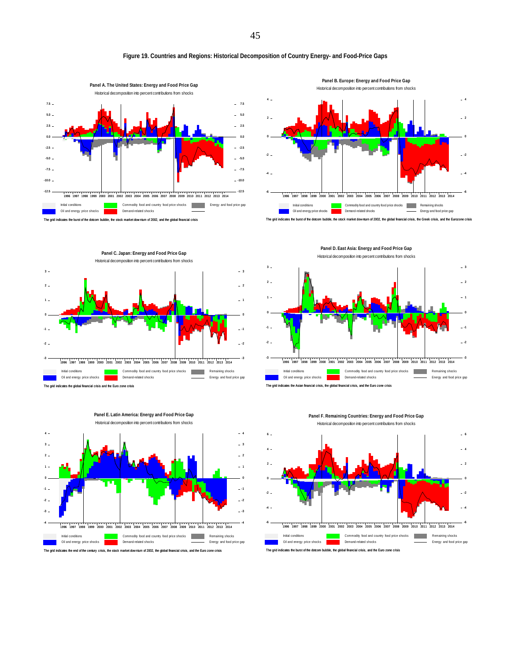#### **Figure 19. Countries and Regions: Historical Decomposition of Country Energy- and Food-Price Gaps**









**Panel E. Latin America: Energy and Food Price Gap**

The grid indicates the end of the century crisis, the stock market downturn of 2002, the global financial crisis, and the Euro zone crisis

The grid indicates the Asian financial crisis, the global financial crisis, and the Euro zone crisis Initial condition Oil and energy price shocks Commodity food and country food price shocks **Remaining shocks** Demand-related shocks Energy and food price gap 1996 1997 1998 1999 2000 2001 2002 2003 2004 2005 2006 2007 2008 2009 2010 2011 2012 2013 2014 -3  $-2 -$ -1 0  $\mathbf{1}$  $2 -$ 3 -3  $-2$ -1 0  $-1$  $-2$  $-3$ 

**Panel D. East Asia: Energy and Food Price Gap** Historical decomposition into percent contributions from shocks



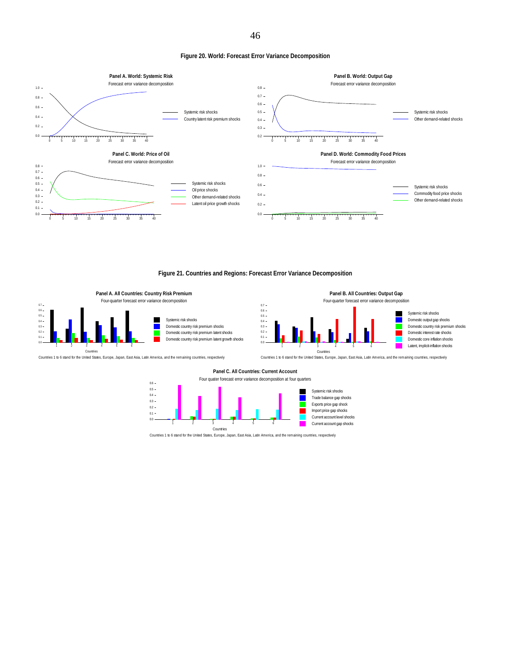**Figure 20. World: Forecast Error Variance Decomposition** 



#### **Figure 21. Countries and Regions: Forecast Error Variance Decomposition**



Systemic risk shocks Domestic country risk premium shocks Domestic country risk premium latent shocks Domestic country risk premium latent growth shocks



Countries 1 to 6 stand for the United States, Europe, Japan, East Asia, Latin America, and the remaining countries, respectively

#### **Panel C. All Countries: Current Account**

Four quater forecast error variance decomposition at four quarters

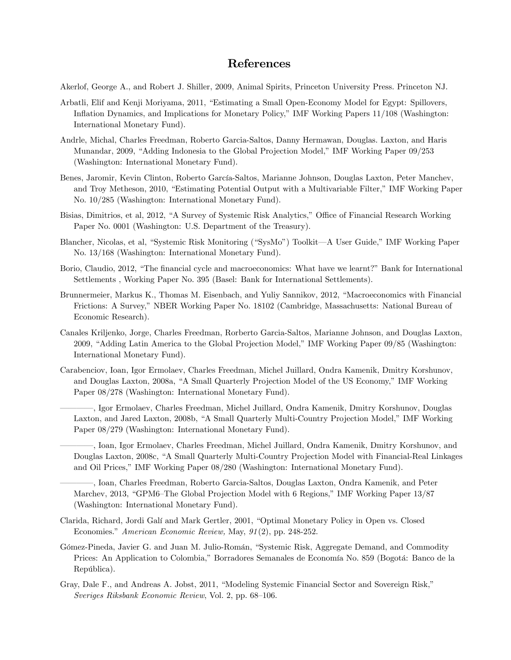# References

Akerlof, George A., and Robert J. Shiller, 2009, Animal Spirits, Princeton University Press. Princeton NJ.

- Arbatli, Elif and Kenji Moriyama, 2011, "Estimating a Small Open-Economy Model for Egypt: Spillovers, Inflation Dynamics, and Implications for Monetary Policy," IMF Working Papers 11/108 (Washington: International Monetary Fund).
- Andrle, Michal, Charles Freedman, Roberto Garcia-Saltos, Danny Hermawan, Douglas. Laxton, and Haris Munandar, 2009, "Adding Indonesia to the Global Projection Model," IMF Working Paper 09/253 (Washington: International Monetary Fund).
- Benes, Jaromir, Kevin Clinton, Roberto García-Saltos, Marianne Johnson, Douglas Laxton, Peter Manchev, and Troy Metheson, 2010, "Estimating Potential Output with a Multivariable Filter," IMF Working Paper No. 10/285 (Washington: International Monetary Fund).
- Bisias, Dimitrios, et al, 2012, "A Survey of Systemic Risk Analytics," Office of Financial Research Working Paper No. 0001 (Washington: U.S. Department of the Treasury).
- Blancher, Nicolas, et al, "Systemic Risk Monitoring ("SysMo") Toolkit—A User Guide," IMF Working Paper No. 13/168 (Washington: International Monetary Fund).
- Borio, Claudio, 2012, "The financial cycle and macroeconomics: What have we learnt?" Bank for International Settlements , Working Paper No. 395 (Basel: Bank for International Settlements).
- Brunnermeier, Markus K., Thomas M. Eisenbach, and Yuliy Sannikov, 2012, "Macroeconomics with Financial Frictions: A Survey," NBER Working Paper No. 18102 (Cambridge, Massachusetts: National Bureau of Economic Research).
- Canales Kriljenko, Jorge, Charles Freedman, Rorberto Garcia-Saltos, Marianne Johnson, and Douglas Laxton, 2009, "Adding Latin America to the Global Projection Model," IMF Working Paper 09/85 (Washington: International Monetary Fund).
- Carabenciov, Ioan, Igor Ermolaev, Charles Freedman, Michel Juillard, Ondra Kamenik, Dmitry Korshunov, and Douglas Laxton, 2008a, "A Small Quarterly Projection Model of the US Economy," IMF Working Paper 08/278 (Washington: International Monetary Fund).
	- ó ó ó ó , Igor Ermolaev, Charles Freedman, Michel Juillard, Ondra Kamenik, Dmitry Korshunov, Douglas Laxton, and Jared Laxton, 2008b, "A Small Quarterly Multi-Country Projection Model," IMF Working Paper 08/279 (Washington: International Monetary Fund).
	- , Ioan, Igor Ermolaev, Charles Freedman, Michel Juillard, Ondra Kamenik, Dmitry Korshunov, and Douglas Laxton, 2008c, "A Small Quarterly Multi-Country Projection Model with Financial-Real Linkages and Oil Prices," IMF Working Paper 08/280 (Washington: International Monetary Fund).
	- , Ioan, Charles Freedman, Roberto Garcia-Saltos, Douglas Laxton, Ondra Kamenik, and Peter Marchev, 2013, "GPM6–The Global Projection Model with 6 Regions," IMF Working Paper 13/87 (Washington: International Monetary Fund).
- Clarida, Richard, Jordi Galí and Mark Gertler, 2001, "Optimal Monetary Policy in Open vs. Closed Economies." American Economic Review, May, 91(2), pp. 248-252.
- Gómez-Pineda, Javier G. and Juan M. Julio-Román, "Systemic Risk, Aggregate Demand, and Commodity Prices: An Application to Colombia," Borradores Semanales de Economía No. 859 (Bogotá: Banco de la República).
- Gray, Dale F., and Andreas A. Jobst, 2011, "Modeling Systemic Financial Sector and Sovereign Risk," Sveriges Riksbank Economic Review, Vol. 2, pp. 68–106.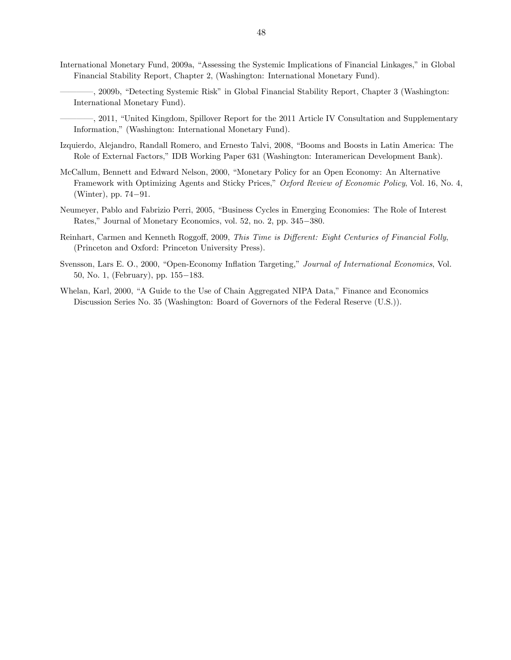- International Monetary Fund, 2009a, "Assessing the Systemic Implications of Financial Linkages," in Global Financial Stability Report, Chapter 2, (Washington: International Monetary Fund).
	- , 2009b, "Detecting Systemic Risk" in Global Financial Stability Report, Chapter 3 (Washington: International Monetary Fund).
	- , 2011, "United Kingdom, Spillover Report for the 2011 Article IV Consultation and Supplementary Information," (Washington: International Monetary Fund).
- Izquierdo, Alejandro, Randall Romero, and Ernesto Talvi, 2008, "Booms and Boosts in Latin America: The Role of External Factors," IDB Working Paper 631 (Washington: Interamerican Development Bank).
- McCallum, Bennett and Edward Nelson, 2000, "Monetary Policy for an Open Economy: An Alternative Framework with Optimizing Agents and Sticky Prices," Oxford Review of Economic Policy, Vol. 16, No. 4,  $(Winter)$ , pp. 74-91.
- Neumeyer, Pablo and Fabrizio Perri, 2005, "Business Cycles in Emerging Economies: The Role of Interest Rates," Journal of Monetary Economics, vol. 52, no. 2, pp. 345-380.
- Reinhart, Carmen and Kenneth Roggoff, 2009, This Time is Different: Eight Centuries of Financial Folly, (Princeton and Oxford: Princeton University Press).
- Svensson, Lars E. O., 2000, "Open-Economy Inflation Targeting," Journal of International Economics, Vol. 50, No. 1, (February), pp.  $155-183$ .
- Whelan, Karl, 2000, "A Guide to the Use of Chain Aggregated NIPA Data," Finance and Economics Discussion Series No. 35 (Washington: Board of Governors of the Federal Reserve (U.S.)).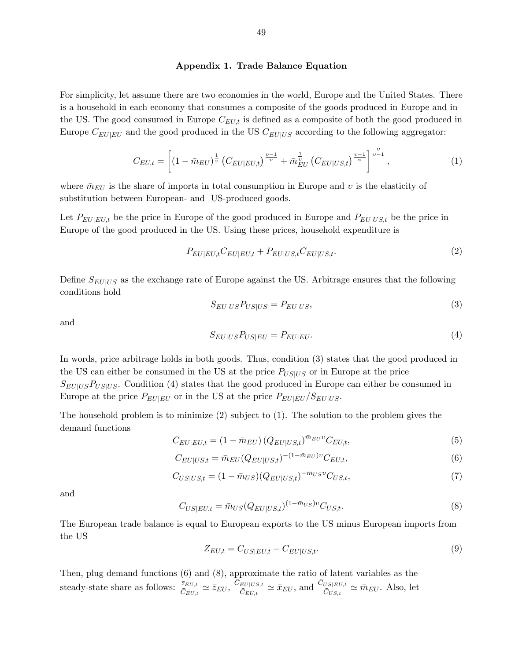#### Appendix 1. Trade Balance Equation

For simplicity, let assume there are two economies in the world, Europe and the United States. There is a household in each economy that consumes a composite of the goods produced in Europe and in the US. The good consumed in Europe  $C_{EU,t}$  is defined as a composite of both the good produced in Europe  $C_{EU|EU}$  and the good produced in the US  $C_{EU|US}$  according to the following aggregator:

$$
C_{EU,t} = \left[ (1 - \bar{m}_{EU})^{\frac{1}{\upsilon}} \left( C_{EU|EU,t} \right)^{\frac{\upsilon - 1}{\upsilon}} + \bar{m}_{EU}^{\frac{1}{\upsilon}} \left( C_{EU|US,t} \right)^{\frac{\upsilon - 1}{\upsilon}} \right]^{\frac{\upsilon}{\upsilon - 1}},\tag{1}
$$

where  $\bar{m}_{EU}$  is the share of imports in total consumption in Europe and v is the elasticity of substitution between European- and US-produced goods.

Let  $P_{EU|EU,t}$  be the price in Europe of the good produced in Europe and  $P_{EU|US,t}$  be the price in Europe of the good produced in the US. Using these prices, household expenditure is

$$
P_{EU|EU,t}C_{EU|EU,t} + P_{EU|US,t}C_{EU|US,t}.\tag{2}
$$

Define  $S_{EU|US}$  as the exchange rate of Europe against the US. Arbitrage ensures that the following conditions hold

$$
S_{EU|US}P_{US|US} = P_{EU|US},\tag{3}
$$

and

$$
S_{EU|US}P_{US|EU} = P_{EU|EU}.\tag{4}
$$

In words, price arbitrage holds in both goods. Thus, condition (3) states that the good produced in the US can either be consumed in the US at the price  $P_{US|US}$  or in Europe at the price  $S_{EU|US}P_{US|US}$ . Condition (4) states that the good produced in Europe can either be consumed in Europe at the price  $P_{EU|EU}$  or in the US at the price  $P_{EU|EU}/S_{EU|US}$ .

The household problem is to minimize (2) subject to (1). The solution to the problem gives the demand functions

$$
C_{EU|EU,t} = (1 - \bar{m}_{EU}) (Q_{EU|US,t})^{\bar{m}_{EU}v} C_{EU,t},
$$
\n(5)

$$
C_{EU|US,t} = \bar{m}_{EU}(Q_{EU|US,t})^{-(1-\bar{m}_{EU})v} C_{EU,t},
$$
\n(6)

$$
C_{US|US,t} = (1 - \bar{m}_{US})(Q_{EU|US,t})^{-\bar{m}_{US}v} C_{US,t},\tag{7}
$$

and

$$
C_{US|EU,t} = \bar{m}_{US}(Q_{EU|US,t})^{(1-\bar{m}_{US})\nu} C_{US,t}.
$$
\n(8)

The European trade balance is equal to European exports to the US minus European imports from the US

$$
Z_{EU,t} = C_{US|EU,t} - C_{EU|US,t}.\tag{9}
$$

Then, plug demand functions (6) and (8), approximate the ratio of latent variables as the steady-state share as follows:  $\frac{\overline{z}_{EU,t}}{\overline{C}_{EU,t}} \simeq \overline{z}_{EU}, \frac{\overline{C}_{EU|US,t}}{\overline{C}_{EU,t}}$  $\frac{\bar{C}_{U|U S,t}}{\bar{C}_{EU,t}} \simeq \bar{x}_{EU}$ , and  $\frac{\bar{C}_{US|EU,t}}{\bar{C}_{US,t}} \simeq \bar{m}_{EU}$ . Also, let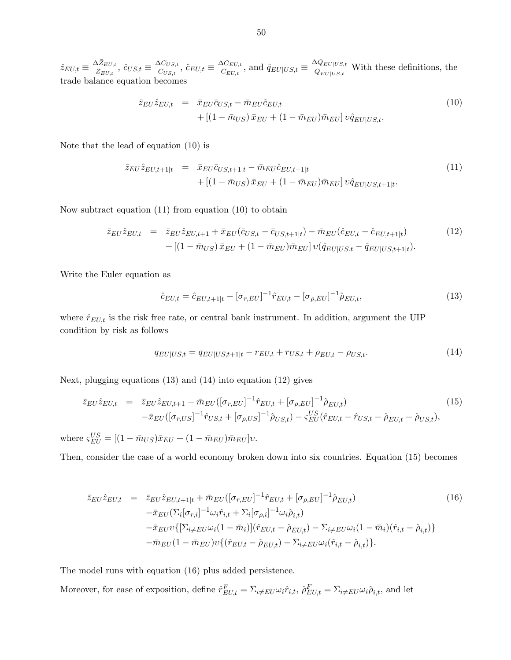$\hat{z}_{EU,t} \equiv \frac{\Delta \bar{Z}_{EU,t}}{\bar{Z}_{EU,t}}$  $\frac{\Delta Z_{EU,t}}{\bar Z_{EU,t}},\, \hat c_{US,t}\equiv \frac{\Delta C_{US,t}}{\bar C_{US,t}}$  $\frac{\Delta C_{US,t}}{\bar{C}_{US,t}},\, \hat{c}_{EU,t} \equiv \frac{\Delta C_{EU,t}}{\bar{C}_{EU,t}}$  $\frac{\Delta C_{EU,t}}{\bar{C}_{EU,t}}$ , and  $\hat{q}_{EU|US,t} \equiv \frac{\Delta Q_{EU|US,t}}{\bar{Q}_{EU|US,t}}$  $\frac{\partial \mathcal{L}_{EU|US,t}}{\partial_{EU|US,t}}$  With these definitions, the trade balance equation becomes

$$
\bar{z}_{EU}\hat{z}_{EU,t} = \bar{x}_{EU}\bar{c}_{US,t} - \bar{m}_{EU}\hat{c}_{EU,t} + \left[ (1 - \bar{m}_{US})\bar{x}_{EU} + (1 - \bar{m}_{EU})\bar{m}_{EU} \right] v\hat{q}_{EU|US,t}.
$$
\n(10)

Note that the lead of equation (10) is

$$
\bar{z}_{EU}\hat{z}_{EU,t+1|t} = \bar{x}_{EU}\bar{c}_{US,t+1|t} - \bar{m}_{EU}\hat{c}_{EU,t+1|t} + [(1 - \bar{m}_{US})\bar{x}_{EU} + (1 - \bar{m}_{EU})\bar{m}_{EU}]v\hat{q}_{EU|US,t+1|t}.
$$
\n(11)

Now subtract equation (11) from equation (10) to obtain

$$
\bar{z}_{EU}\hat{z}_{EU,t} = \bar{z}_{EU}\hat{z}_{EU,t+1} + \bar{x}_{EU}(\bar{c}_{US,t} - \bar{c}_{US,t+1|t}) - \bar{m}_{EU}(\hat{c}_{EU,t} - \hat{c}_{EU,t+1|t})
$$
(12)  
 
$$
+ \left[ (1 - \bar{m}_{US}) \bar{x}_{EU} + (1 - \bar{m}_{EU}) \bar{m}_{EU} \right] \upsilon(\hat{q}_{EU|US,t} - \hat{q}_{EU|US,t+1|t}).
$$

Write the Euler equation as

$$
\hat{c}_{EU,t} = \hat{c}_{EU,t+1|t} - [\sigma_{r,EU}]^{-1} \hat{r}_{EU,t} - [\sigma_{\rho,EU}]^{-1} \hat{\rho}_{EU,t},\tag{13}
$$

where  $\hat{r}_{EU,t}$  is the risk free rate, or central bank instrument. In addition, argument the UIP condition by risk as follows

$$
q_{EU|US,t} = q_{EU|US,t+1|t} - r_{EU,t} + r_{US,t} + \rho_{EU,t} - \rho_{US,t}.\tag{14}
$$

Next, plugging equations (13) and (14) into equation (12) gives

$$
\bar{z}_{EU}\hat{z}_{EU,t} = \bar{z}_{EU}\hat{z}_{EU,t+1} + \bar{m}_{EU}([\sigma_{r,EU}]^{-1}\hat{r}_{EU,t} + [\sigma_{\rho,EU}]^{-1}\hat{\rho}_{EU,t})
$$
\n
$$
-\bar{x}_{EU}([\sigma_{r,US}]^{-1}\hat{r}_{US,t} + [\sigma_{\rho,US}]^{-1}\hat{\rho}_{US,t}) - \varsigma_{EU}^{US}(\hat{r}_{EU,t} - \hat{r}_{US,t} - \hat{\rho}_{EU,t} + \hat{\rho}_{US,t}),
$$
\n(15)

where  $\varsigma_{EU}^{US} = [(1 - \bar{m}_{US})\bar{x}_{EU} + (1 - \bar{m}_{EU})\bar{m}_{EU}]v.$ 

Then, consider the case of a world economy broken down into six countries. Equation (15) becomes

$$
\bar{z}_{EU}\hat{z}_{EU,t} = \bar{z}_{EU}\hat{z}_{EU,t+1|t} + \bar{m}_{EU}([\sigma_{r,EU}]^{-1}\hat{r}_{EU,t} + [\sigma_{\rho,EU}]^{-1}\hat{\rho}_{EU,t})
$$
\n
$$
-\bar{x}_{EU}(\Sigma_i[\sigma_{r,i}]^{-1}\omega_i\hat{r}_{i,t} + \Sigma_i[\sigma_{\rho,i}]^{-1}\omega_i\hat{\rho}_{i,t})
$$
\n
$$
-\bar{x}_{EU}(\Sigma_{i\neq EU}\omega_i(1-\bar{m}_i)](\hat{r}_{EU,t} - \hat{\rho}_{EU,t}) - \Sigma_{i\neq EU}\omega_i(1-\bar{m}_i)(\hat{r}_{i,t} - \hat{\rho}_{i,t})
$$
\n
$$
-\bar{m}_{EU}(1-\bar{m}_{EU})\nu\{(\hat{r}_{EU,t} - \hat{\rho}_{EU,t}) - \Sigma_{i\neq EU}\omega_i(\hat{r}_{i,t} - \hat{\rho}_{i,t})\}.
$$
\n(16)

The model runs with equation (16) plus added persistence.

Moreover, for ease of exposition, define  $\hat{r}_{EU,t}^F = \sum_{i \neq EU} \omega_i \hat{r}_{i,t}$ ,  $\hat{\rho}_{EU,t}^F = \sum_{i \neq EU} \omega_i \hat{\rho}_{i,t}$ , and let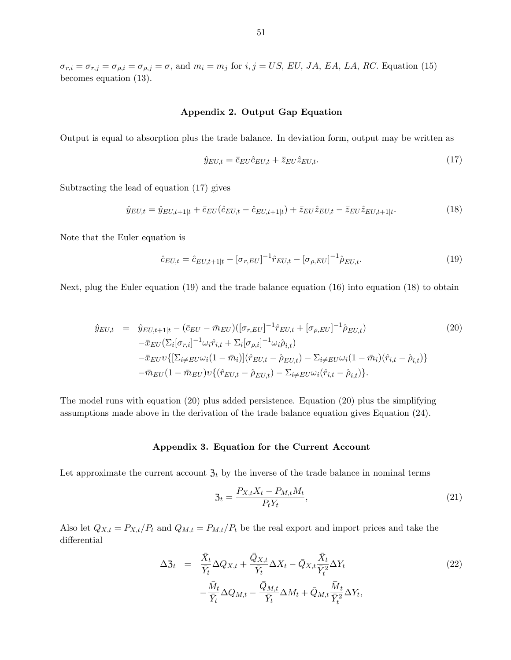#### Appendix 2. Output Gap Equation

Output is equal to absorption plus the trade balance. In deviation form, output may be written as

$$
\hat{y}_{EU,t} = \bar{c}_{EU}\hat{c}_{EU,t} + \bar{z}_{EU}\hat{z}_{EU,t}.\tag{17}
$$

Subtracting the lead of equation (17) gives

$$
\hat{y}_{EU,t} = \hat{y}_{EU,t+1|t} + \bar{c}_{EU}(\hat{c}_{EU,t} - \hat{c}_{EU,t+1|t}) + \bar{z}_{EU}\hat{z}_{EU,t} - \bar{z}_{EU}\hat{z}_{EU,t+1|t}.
$$
\n(18)

Note that the Euler equation is

$$
\hat{c}_{EU,t} = \hat{c}_{EU,t+1|t} - [\sigma_{r,EU}]^{-1} \hat{r}_{EU,t} - [\sigma_{\rho,EU}]^{-1} \hat{\rho}_{EU,t}.
$$
\n(19)

Next, plug the Euler equation (19) and the trade balance equation (16) into equation (18) to obtain

$$
\hat{y}_{EU,t} = \hat{y}_{EU,t+1|t} - (\bar{c}_{EU} - \bar{m}_{EU})([\sigma_{r,EU}]^{-1} \hat{r}_{EU,t} + [\sigma_{\rho,EU}]^{-1} \hat{\rho}_{EU,t})
$$
\n
$$
-\bar{x}_{EU} (\Sigma_i [\sigma_{r,i}]^{-1} \omega_i \hat{r}_{i,t} + \Sigma_i [\sigma_{\rho,i}]^{-1} \omega_i \hat{\rho}_{i,t})
$$
\n
$$
-\bar{x}_{EU} \{ [\Sigma_{i \neq EU} \omega_i (1 - \bar{m}_i)] (\hat{r}_{EU,t} - \hat{\rho}_{EU,t}) - \Sigma_{i \neq EU} \omega_i (1 - \bar{m}_i) (\hat{r}_{i,t} - \hat{\rho}_{i,t}) \}
$$
\n
$$
-\bar{m}_{EU} (1 - \bar{m}_{EU}) \nu \{ (\hat{r}_{EU,t} - \hat{\rho}_{EU,t}) - \Sigma_{i \neq EU} \omega_i (\hat{r}_{i,t} - \hat{\rho}_{i,t}) \}.
$$
\n(20)

The model runs with equation (20) plus added persistence. Equation (20) plus the simplifying assumptions made above in the derivation of the trade balance equation gives Equation (24).

## Appendix 3. Equation for the Current Account

Let approximate the current account  $\mathfrak{Z}_t$  by the inverse of the trade balance in nominal terms

$$
\mathfrak{Z}_t = \frac{P_{X,t}X_t - P_{M,t}M_t}{P_tY_t},\tag{21}
$$

Also let  $Q_{X,t} = P_{X,t}/P_t$  and  $Q_{M,t} = P_{M,t}/P_t$  be the real export and import prices and take the differential

$$
\Delta \mathfrak{Z}_t = \frac{\bar{X}_t}{\bar{Y}_t} \Delta Q_{X,t} + \frac{\bar{Q}_{X,t}}{\bar{Y}_t} \Delta X_t - \bar{Q}_{X,t} \frac{\bar{X}_t}{\bar{Y}_t^2} \Delta Y_t - \frac{\bar{M}_t}{\bar{Y}_t} \Delta Q_{M,t} - \frac{\bar{Q}_{M,t}}{\bar{Y}_t} \Delta M_t + \bar{Q}_{M,t} \frac{\bar{M}_t}{\bar{Y}_t^2} \Delta Y_t,
$$
\n(22)